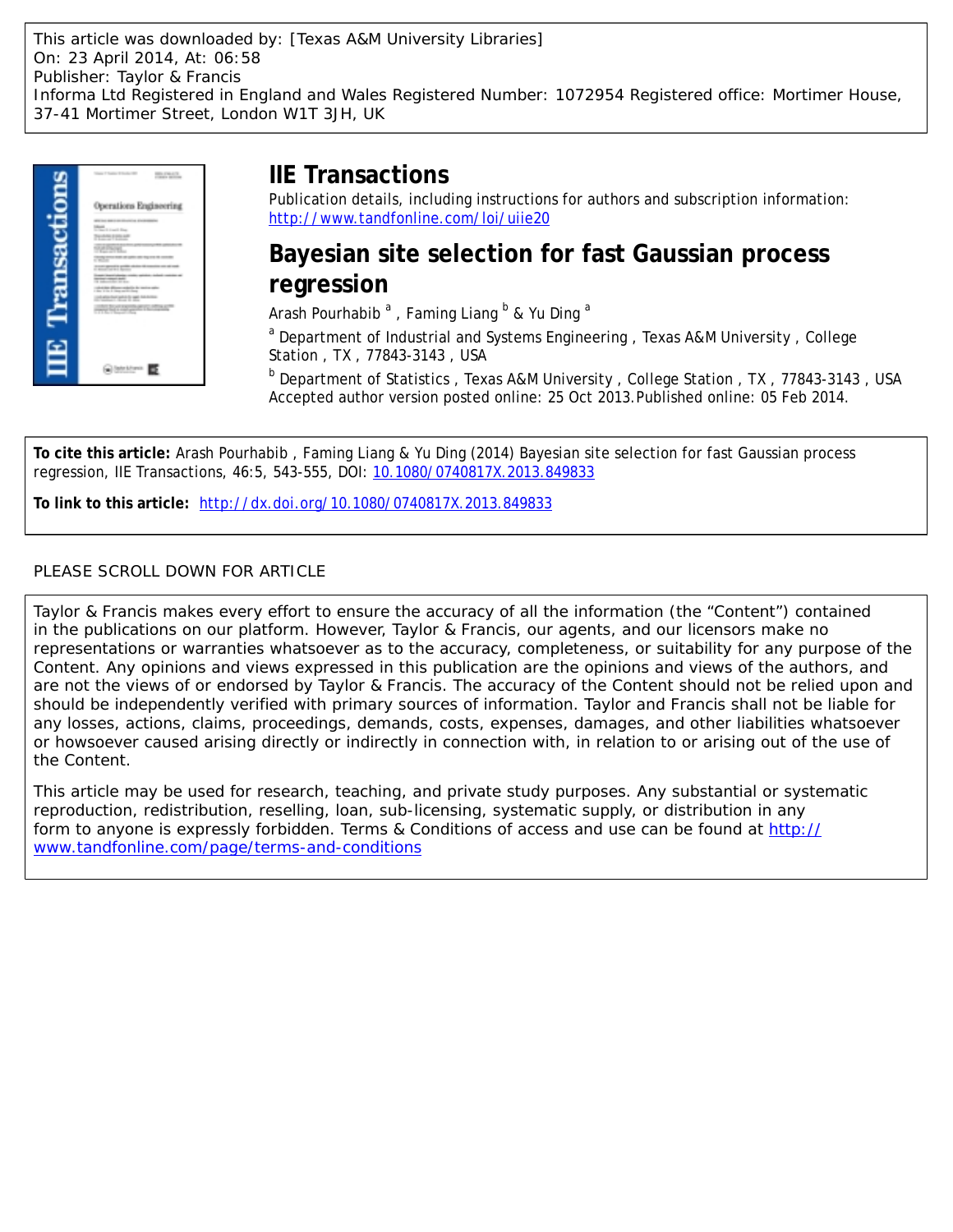This article was downloaded by: [Texas A&M University Libraries] On: 23 April 2014, At: 06:58 Publisher: Taylor & Francis Informa Ltd Registered in England and Wales Registered Number: 1072954 Registered office: Mortimer House, 37-41 Mortimer Street, London W1T 3JH, UK



## **IIE Transactions**

Publication details, including instructions for authors and subscription information: <http://www.tandfonline.com/loi/uiie20>

**Bayesian site selection for fast Gaussian process regression**

Arash Pourhabib<sup>a</sup>, Faming Liang <sup>b</sup> & Yu Ding <sup>a</sup>

<sup>a</sup> Department of Industrial and Systems Engineering, Texas A&M University, College Station , TX , 77843-3143 , USA

<sup>b</sup> Department of Statistics, Texas A&M University, College Station, TX, 77843-3143, USA Accepted author version posted online: 25 Oct 2013.Published online: 05 Feb 2014.

**To cite this article:** Arash Pourhabib , Faming Liang & Yu Ding (2014) Bayesian site selection for fast Gaussian process regression, IIE Transactions, 46:5, 543-555, DOI: [10.1080/0740817X.2013.849833](http://www.tandfonline.com/action/showCitFormats?doi=10.1080/0740817X.2013.849833)

**To link to this article:** <http://dx.doi.org/10.1080/0740817X.2013.849833>

## PLEASE SCROLL DOWN FOR ARTICLE

Taylor & Francis makes every effort to ensure the accuracy of all the information (the "Content") contained in the publications on our platform. However, Taylor & Francis, our agents, and our licensors make no representations or warranties whatsoever as to the accuracy, completeness, or suitability for any purpose of the Content. Any opinions and views expressed in this publication are the opinions and views of the authors, and are not the views of or endorsed by Taylor & Francis. The accuracy of the Content should not be relied upon and should be independently verified with primary sources of information. Taylor and Francis shall not be liable for any losses, actions, claims, proceedings, demands, costs, expenses, damages, and other liabilities whatsoever or howsoever caused arising directly or indirectly in connection with, in relation to or arising out of the use of the Content.

This article may be used for research, teaching, and private study purposes. Any substantial or systematic reproduction, redistribution, reselling, loan, sub-licensing, systematic supply, or distribution in any form to anyone is expressly forbidden. Terms & Conditions of access and use can be found at [http://](http://www.tandfonline.com/page/terms-and-conditions) [www.tandfonline.com/page/terms-and-conditions](http://www.tandfonline.com/page/terms-and-conditions)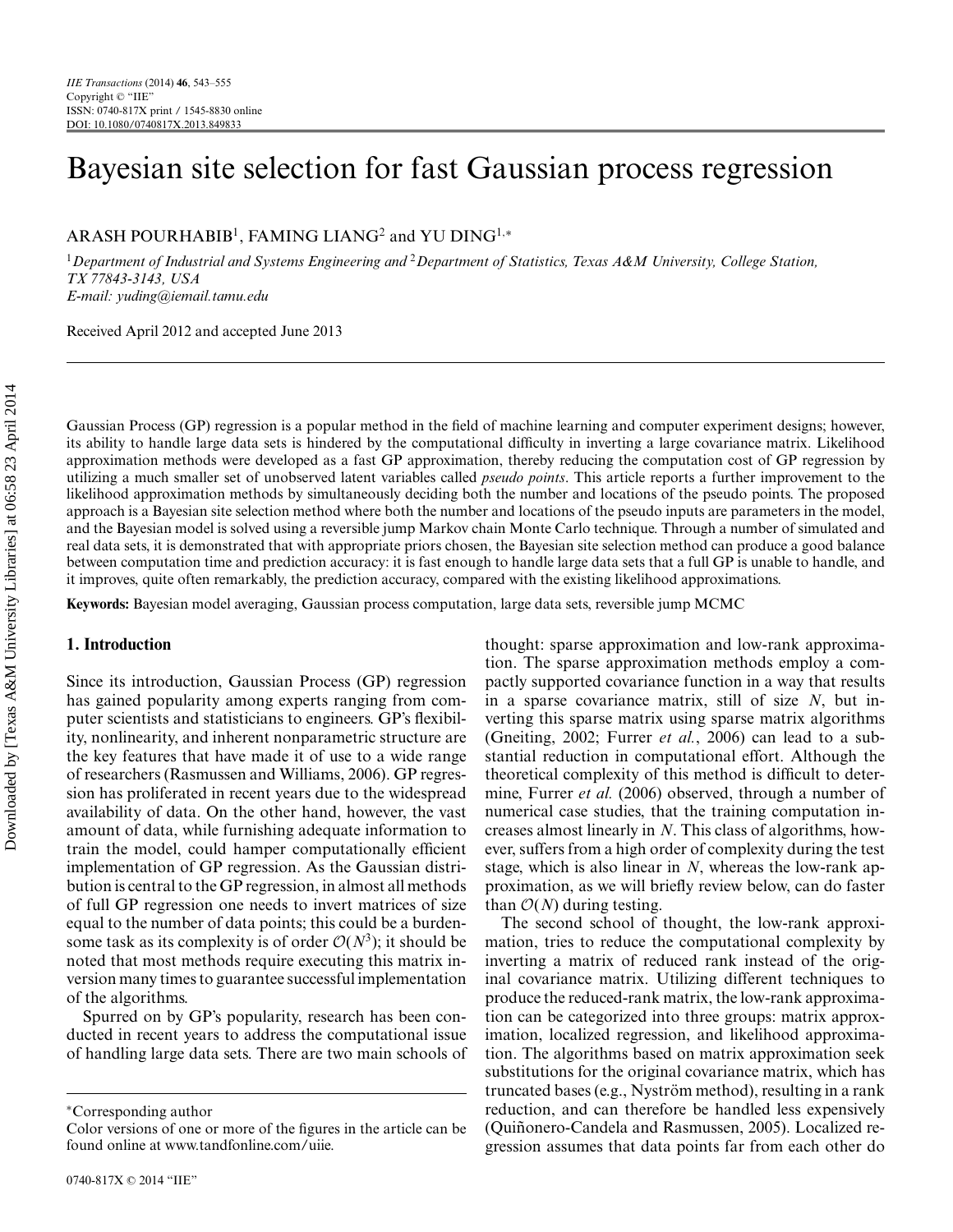# Bayesian site selection for fast Gaussian process regression

ARASH POURHABIB<sup>1</sup>, FAMING LIANG<sup>2</sup> and YU DING<sup>1,∗</sup>

<sup>1</sup>*Department of Industrial and Systems Engineering and* <sup>2</sup>*Department of Statistics, Texas A&M University, College Station, TX 77843-3143, USA E-mail: yuding@iemail.tamu.edu*

Received April 2012 and accepted June 2013

Gaussian Process (GP) regression is a popular method in the field of machine learning and computer experiment designs; however, its ability to handle large data sets is hindered by the computational difficulty in inverting a large covariance matrix. Likelihood approximation methods were developed as a fast GP approximation, thereby reducing the computation cost of GP regression by utilizing a much smaller set of unobserved latent variables called *pseudo points*. This article reports a further improvement to the likelihood approximation methods by simultaneously deciding both the number and locations of the pseudo points. The proposed approach is a Bayesian site selection method where both the number and locations of the pseudo inputs are parameters in the model, and the Bayesian model is solved using a reversible jump Markov chain Monte Carlo technique. Through a number of simulated and real data sets, it is demonstrated that with appropriate priors chosen, the Bayesian site selection method can produce a good balance between computation time and prediction accuracy: it is fast enough to handle large data sets that a full GP is unable to handle, and it improves, quite often remarkably, the prediction accuracy, compared with the existing likelihood approximations.

**Keywords:** Bayesian model averaging, Gaussian process computation, large data sets, reversible jump MCMC

## **1. Introduction**

Since its introduction, Gaussian Process (GP) regression has gained popularity among experts ranging from computer scientists and statisticians to engineers. GP's flexibility, nonlinearity, and inherent nonparametric structure are the key features that have made it of use to a wide range of researchers (Rasmussen and Williams, 2006). GP regression has proliferated in recent years due to the widespread availability of data. On the other hand, however, the vast amount of data, while furnishing adequate information to train the model, could hamper computationally efficient implementation of GP regression. As the Gaussian distribution is central to the GP regression, in almost all methods of full GP regression one needs to invert matrices of size equal to the number of data points; this could be a burdensome task as its complexity is of order  $O(N^3)$ ; it should be noted that most methods require executing this matrix inversion many times to guarantee successful implementation of the algorithms.

Spurred on by GP's popularity, research has been conducted in recent years to address the computational issue of handling large data sets. There are two main schools of thought: sparse approximation and low-rank approximation. The sparse approximation methods employ a compactly supported covariance function in a way that results in a sparse covariance matrix, still of size *N*, but inverting this sparse matrix using sparse matrix algorithms (Gneiting, 2002; Furrer *et al.*, 2006) can lead to a substantial reduction in computational effort. Although the theoretical complexity of this method is difficult to determine, Furrer *et al.* (2006) observed, through a number of numerical case studies, that the training computation increases almost linearly in *N*. This class of algorithms, however, suffers from a high order of complexity during the test stage, which is also linear in *N*, whereas the low-rank approximation, as we will briefly review below, can do faster than  $O(N)$  during testing.

The second school of thought, the low-rank approximation, tries to reduce the computational complexity by inverting a matrix of reduced rank instead of the original covariance matrix. Utilizing different techniques to produce the reduced-rank matrix, the low-rank approximation can be categorized into three groups: matrix approximation, localized regression, and likelihood approximation. The algorithms based on matrix approximation seek substitutions for the original covariance matrix, which has truncated bases (e.g., Nyström method), resulting in a rank reduction, and can therefore be handled less expensively (Quiñonero-Candela and Rasmussen, 2005). Localized regression assumes that data points far from each other do

<sup>∗</sup>Corresponding author

Color versions of one or more of the figures in the article can be found online at www.tandfonline.com/uiie.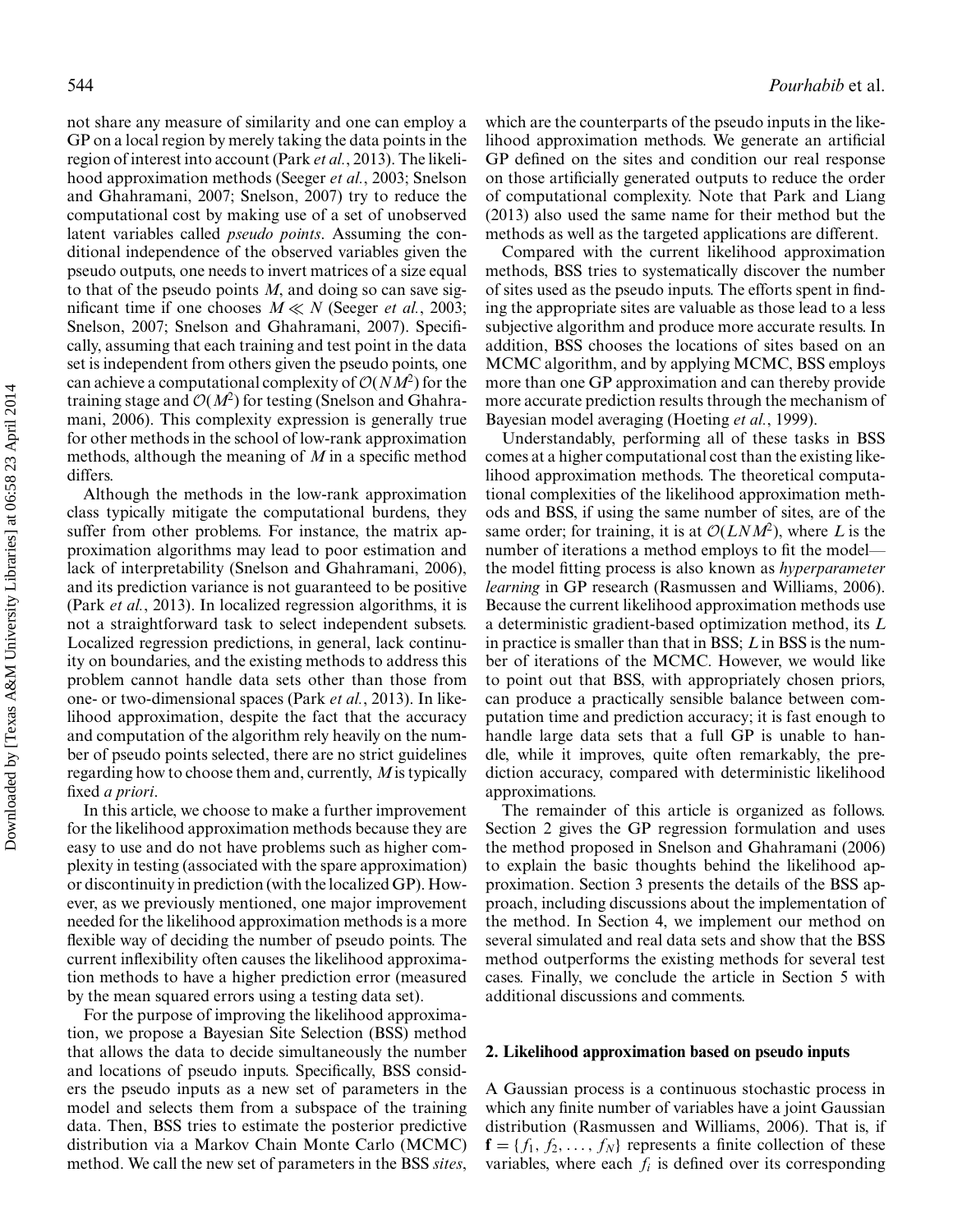not share any measure of similarity and one can employ a GP on a local region by merely taking the data points in the region of interest into account (Park *et al.*, 2013). The likelihood approximation methods (Seeger *et al.*, 2003; Snelson and Ghahramani, 2007; Snelson, 2007) try to reduce the computational cost by making use of a set of unobserved latent variables called *pseudo points*. Assuming the conditional independence of the observed variables given the pseudo outputs, one needs to invert matrices of a size equal to that of the pseudo points *M*, and doing so can save significant time if one chooses  $M \ll N$  (Seeger *et al.*, 2003; Snelson, 2007; Snelson and Ghahramani, 2007). Specifically, assuming that each training and test point in the data set is independent from others given the pseudo points, one can achieve a computational complexity of  $O(NM^2)$  for the training stage and  $\mathcal{O}(M^2)$  for testing (Snelson and Ghahramani, 2006). This complexity expression is generally true for other methods in the school of low-rank approximation methods, although the meaning of *M* in a specific method differs.

Although the methods in the low-rank approximation class typically mitigate the computational burdens, they suffer from other problems. For instance, the matrix approximation algorithms may lead to poor estimation and lack of interpretability (Snelson and Ghahramani, 2006), and its prediction variance is not guaranteed to be positive (Park *et al.*, 2013). In localized regression algorithms, it is not a straightforward task to select independent subsets. Localized regression predictions, in general, lack continuity on boundaries, and the existing methods to address this problem cannot handle data sets other than those from one- or two-dimensional spaces (Park *et al.*, 2013). In likelihood approximation, despite the fact that the accuracy and computation of the algorithm rely heavily on the number of pseudo points selected, there are no strict guidelines regarding how to choose them and, currently, *M*is typically fixed *a priori*.

In this article, we choose to make a further improvement for the likelihood approximation methods because they are easy to use and do not have problems such as higher complexity in testing (associated with the spare approximation) or discontinuity in prediction (with the localized GP). However, as we previously mentioned, one major improvement needed for the likelihood approximation methods is a more flexible way of deciding the number of pseudo points. The current inflexibility often causes the likelihood approximation methods to have a higher prediction error (measured by the mean squared errors using a testing data set).

For the purpose of improving the likelihood approximation, we propose a Bayesian Site Selection (BSS) method that allows the data to decide simultaneously the number and locations of pseudo inputs. Specifically, BSS considers the pseudo inputs as a new set of parameters in the model and selects them from a subspace of the training data. Then, BSS tries to estimate the posterior predictive distribution via a Markov Chain Monte Carlo (MCMC) method. We call the new set of parameters in the BSS *sites*,

which are the counterparts of the pseudo inputs in the likelihood approximation methods. We generate an artificial GP defined on the sites and condition our real response on those artificially generated outputs to reduce the order of computational complexity. Note that Park and Liang (2013) also used the same name for their method but the methods as well as the targeted applications are different.

Compared with the current likelihood approximation methods, BSS tries to systematically discover the number of sites used as the pseudo inputs. The efforts spent in finding the appropriate sites are valuable as those lead to a less subjective algorithm and produce more accurate results. In addition, BSS chooses the locations of sites based on an MCMC algorithm, and by applying MCMC, BSS employs more than one GP approximation and can thereby provide more accurate prediction results through the mechanism of Bayesian model averaging (Hoeting *et al.*, 1999).

Understandably, performing all of these tasks in BSS comes at a higher computational cost than the existing likelihood approximation methods. The theoretical computational complexities of the likelihood approximation methods and BSS, if using the same number of sites, are of the same order; for training, it is at  $\mathcal{O}(LNM^2)$ , where *L* is the number of iterations a method employs to fit the model the model fitting process is also known as *hyperparameter learning* in GP research (Rasmussen and Williams, 2006). Because the current likelihood approximation methods use a deterministic gradient-based optimization method, its *L* in practice is smaller than that in BSS; *L* in BSS is the number of iterations of the MCMC. However, we would like to point out that BSS, with appropriately chosen priors, can produce a practically sensible balance between computation time and prediction accuracy; it is fast enough to handle large data sets that a full GP is unable to handle, while it improves, quite often remarkably, the prediction accuracy, compared with deterministic likelihood approximations.

The remainder of this article is organized as follows. Section 2 gives the GP regression formulation and uses the method proposed in Snelson and Ghahramani (2006) to explain the basic thoughts behind the likelihood approximation. Section 3 presents the details of the BSS approach, including discussions about the implementation of the method. In Section 4, we implement our method on several simulated and real data sets and show that the BSS method outperforms the existing methods for several test cases. Finally, we conclude the article in Section 5 with additional discussions and comments.

## **2. Likelihood approximation based on pseudo inputs**

A Gaussian process is a continuous stochastic process in which any finite number of variables have a joint Gaussian distribution (Rasmussen and Williams, 2006). That is, if  $f = \{f_1, f_2, \ldots, f_N\}$  represents a finite collection of these variables, where each  $f_i$  is defined over its corresponding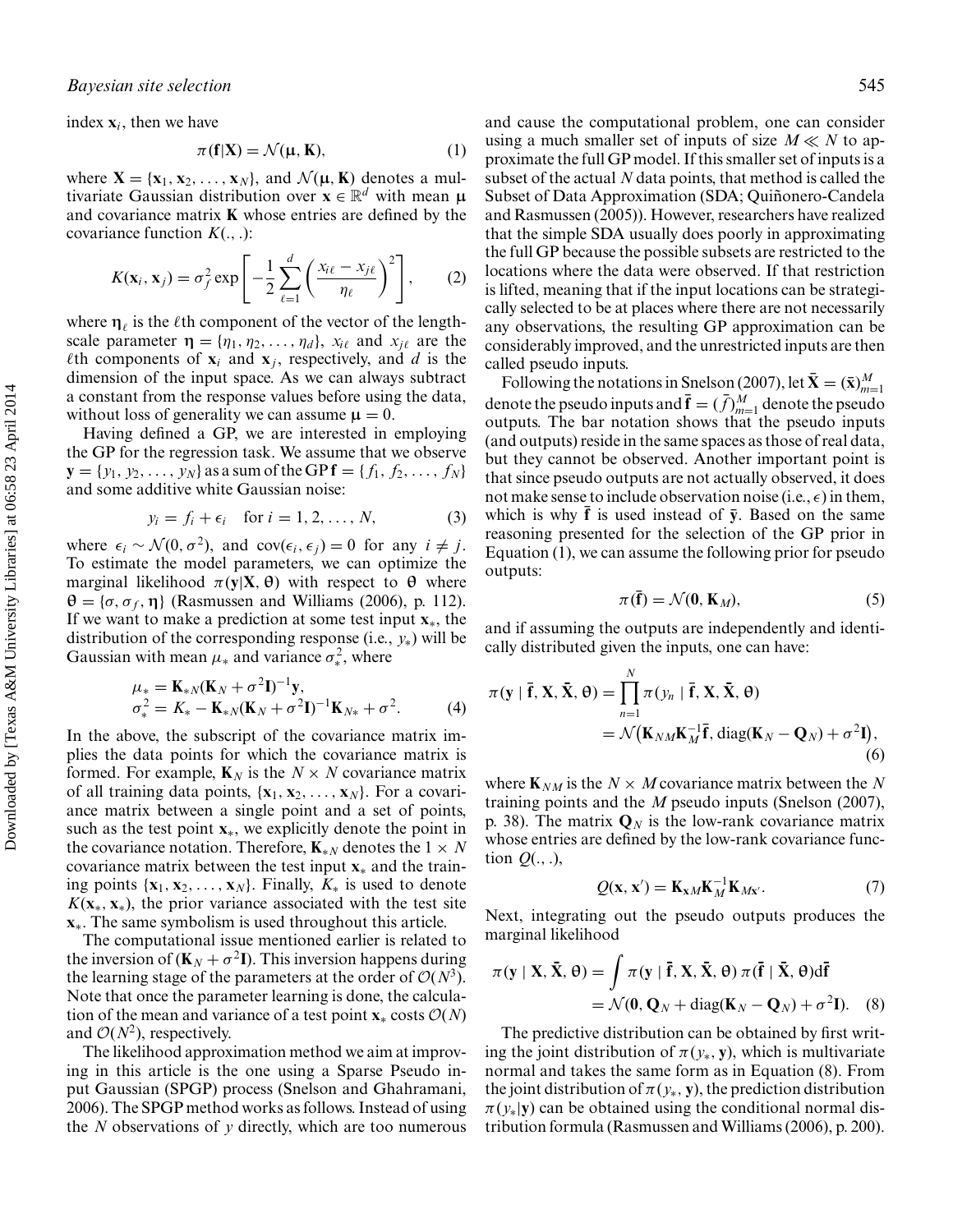index  $\mathbf{x}_i$ , then we have

$$
\pi(\mathbf{f}|\mathbf{X}) = \mathcal{N}(\mathbf{\mu}, \mathbf{K}),\tag{1}
$$

where  $X = \{x_1, x_2, \ldots, x_N\}$ , and  $\mathcal{N}(\mu, K)$  denotes a multivariate Gaussian distribution over  $\mathbf{x} \in \mathbb{R}^d$  with mean  $\boldsymbol{\mu}$ and covariance matrix **K** whose entries are defined by the covariance function *K*(., .):

$$
K(\mathbf{x}_i, \mathbf{x}_j) = \sigma_f^2 \exp\left[-\frac{1}{2}\sum_{\ell=1}^d \left(\frac{x_{i\ell} - x_{j\ell}}{\eta_\ell}\right)^2\right],\qquad(2)
$$

where  $\eta_{\ell}$  is the  $\ell$ th component of the vector of the lengthscale parameter  $\eta = {\eta_1, \eta_2, \ldots, \eta_d}$ ,  $x_{i\ell}$  and  $x_{j\ell}$  are the  $\ell$ th components of  $\mathbf{x}_i$  and  $\mathbf{x}_j$ , respectively, and *d* is the dimension of the input space. As we can always subtract a constant from the response values before using the data, without loss of generality we can assume  $\mu = 0$ .

Having defined a GP, we are interested in employing the GP for the regression task. We assume that we observe  ${\bf y} = \{y_1, y_2, \ldots, y_N\}$  as a sum of the GP  ${\bf f} = \{f_1, f_2, \ldots, f_N\}$ and some additive white Gaussian noise:

$$
y_i = f_i + \epsilon_i \quad \text{for } i = 1, 2, \dots, N,
$$
 (3)

where  $\epsilon_i \sim \mathcal{N}(0, \sigma^2)$ , and cov $(\epsilon_i, \epsilon_j) = 0$  for any  $i \neq j$ . To estimate the model parameters, we can optimize the marginal likelihood π(**y**|**X**,**θ**) with respect to **θ** where  $\theta = {\sigma, \sigma_f, \eta}$  (Rasmussen and Williams (2006), p. 112). If we want to make a prediction at some test input **x**∗, the distribution of the corresponding response (i.e., *y*∗) will be Gaussian with mean  $\mu_*$  and variance  $\sigma_*^2$ , where

$$
\mu_* = \mathbf{K}_{*N}(\mathbf{K}_N + \sigma^2 \mathbf{I})^{-1} \mathbf{y},
$$
  
\n
$$
\sigma_*^2 = K_* - \mathbf{K}_{*N}(\mathbf{K}_N + \sigma^2 \mathbf{I})^{-1} \mathbf{K}_{N*} + \sigma^2.
$$
 (4)

In the above, the subscript of the covariance matrix implies the data points for which the covariance matrix is formed. For example,  $\mathbf{K}_N$  is the  $N \times N$  covariance matrix of all training data points, {**x**1, **x**2,..., **x***N*}. For a covariance matrix between a single point and a set of points, such as the test point **x**∗, we explicitly denote the point in the covariance notation. Therefore,  $\mathbf{K}_{*N}$  denotes the  $1 \times N$ covariance matrix between the test input **x**<sup>∗</sup> and the training points  $\{x_1, x_2, \ldots, x_N\}$ . Finally,  $K_*$  is used to denote  $K(\mathbf{x}_{*}, \mathbf{x}_{*})$ , the prior variance associated with the test site **x**∗. The same symbolism is used throughout this article.

The computational issue mentioned earlier is related to the inversion of  $(K_N + \sigma^2 I)$ . This inversion happens during the learning stage of the parameters at the order of  $O(N^3)$ . Note that once the parameter learning is done, the calculation of the mean and variance of a test point  $\mathbf{x}$ <sup>∗</sup> costs  $\mathcal{O}(N)$ and  $\mathcal{O}(N^2)$ , respectively.

The likelihood approximation method we aim at improving in this article is the one using a Sparse Pseudo input Gaussian (SPGP) process (Snelson and Ghahramani, 2006). The SPGP method works as follows. Instead of using the *N* observations of *y* directly, which are too numerous

and cause the computational problem, one can consider using a much smaller set of inputs of size  $M \ll N$  to approximate the full GP model. If this smaller set of inputs is a subset of the actual *N* data points, that method is called the Subset of Data Approximation (SDA; Quiñonero-Candela and Rasmussen (2005)). However, researchers have realized that the simple SDA usually does poorly in approximating the full GP because the possible subsets are restricted to the locations where the data were observed. If that restriction is lifted, meaning that if the input locations can be strategically selected to be at places where there are not necessarily any observations, the resulting GP approximation can be considerably improved, and the unrestricted inputs are then called pseudo inputs.

Following the notations in Snelson (2007), let  $\bar{\mathbf{X}} = (\bar{\mathbf{x}})_{m=1}^M$ denote the pseudo inputs and  $\bar{\mathbf{f}} = (\bar{f})_{m=1}^M$  denote the pseudo outputs. The bar notation shows that the pseudo inputs (and outputs) reside in the same spaces as those of real data, but they cannot be observed. Another important point is that since pseudo outputs are not actually observed, it does not make sense to include observation noise (i.e.,  $\epsilon$ ) in them, which is why  $\mathbf{\bar{f}}$  is used instead of  $\mathbf{\bar{v}}$ . Based on the same reasoning presented for the selection of the GP prior in Equation (1), we can assume the following prior for pseudo outputs:

$$
\pi(\bar{\mathbf{f}}) = \mathcal{N}(\mathbf{0}, \mathbf{K}_M),\tag{5}
$$

and if assuming the outputs are independently and identically distributed given the inputs, one can have:

$$
\pi(\mathbf{y} \mid \overline{\mathbf{f}}, \mathbf{X}, \overline{\mathbf{X}}, \Theta) = \prod_{n=1}^{N} \pi(y_n \mid \overline{\mathbf{f}}, \mathbf{X}, \overline{\mathbf{X}}, \Theta)
$$
  
=  $\mathcal{N}(\mathbf{K}_{NM}\mathbf{K}_{M}^{-1}\overline{\mathbf{f}}, \text{diag}(\mathbf{K}_{N} - \mathbf{Q}_{N}) + \sigma^2 \mathbf{I}),$  (6)

where  $\mathbf{K}_{NM}$  is the  $N \times M$  covariance matrix between the N training points and the *M* pseudo inputs (Snelson (2007), p. 38). The matrix  $\mathbf{Q}_N$  is the low-rank covariance matrix whose entries are defined by the low-rank covariance function *Q*(., .),

$$
Q(\mathbf{x}, \mathbf{x}') = \mathbf{K}_{\mathbf{x}M} \mathbf{K}_M^{-1} \mathbf{K}_{M\mathbf{x}'}.
$$
 (7)

Next, integrating out the pseudo outputs produces the marginal likelihood

$$
\pi(\mathbf{y} \mid \mathbf{X}, \bar{\mathbf{X}}, \boldsymbol{\theta}) = \int \pi(\mathbf{y} \mid \bar{\mathbf{f}}, \mathbf{X}, \bar{\mathbf{X}}, \boldsymbol{\theta}) \, \pi(\bar{\mathbf{f}} \mid \bar{\mathbf{X}}, \boldsymbol{\theta}) d\bar{\mathbf{f}}
$$
  
=  $\mathcal{N}(\mathbf{0}, \mathbf{Q}_N + \text{diag}(\mathbf{K}_N - \mathbf{Q}_N) + \sigma^2 \mathbf{I}).$  (8)

The predictive distribution can be obtained by first writing the joint distribution of  $\pi(y_*, y)$ , which is multivariate normal and takes the same form as in Equation (8). From the joint distribution of  $\pi(y_*, y)$ , the prediction distribution  $\pi(v_*)$ **v**) can be obtained using the conditional normal distribution formula (Rasmussen and Williams (2006), p. 200).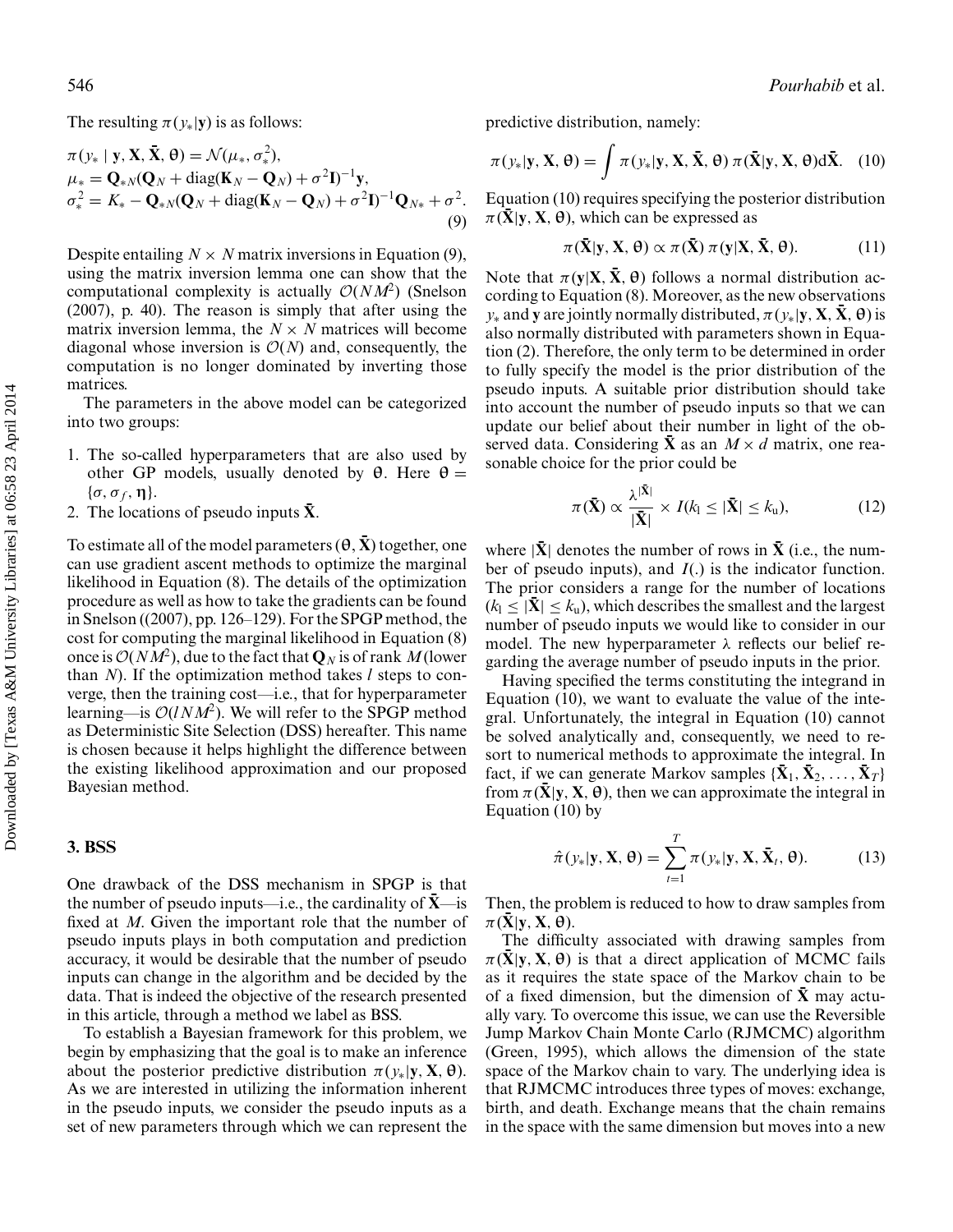The resulting  $\pi(y_*|y)$  is as follows:

$$
\pi(\mathbf{y}_* \mid \mathbf{y}, \mathbf{X}, \bar{\mathbf{X}}, \theta) = \mathcal{N}(\mu_*, \sigma_*^2),
$$
  
\n
$$
\mu_* = \mathbf{Q}_{*N}(\mathbf{Q}_N + \text{diag}(\mathbf{K}_N - \mathbf{Q}_N) + \sigma^2 \mathbf{I})^{-1} \mathbf{y},
$$
  
\n
$$
\sigma_*^2 = K_* - \mathbf{Q}_{*N}(\mathbf{Q}_N + \text{diag}(\mathbf{K}_N - \mathbf{Q}_N) + \sigma^2 \mathbf{I})^{-1} \mathbf{Q}_{N*} + \sigma^2.
$$
\n(9)

Despite entailing  $N \times N$  matrix inversions in Equation (9), using the matrix inversion lemma one can show that the computational complexity is actually  $\mathcal{O}(NM^2)$  (Snelson (2007), p. 40). The reason is simply that after using the matrix inversion lemma, the  $N \times N$  matrices will become diagonal whose inversion is  $\mathcal{O}(N)$  and, consequently, the computation is no longer dominated by inverting those matrices.

The parameters in the above model can be categorized into two groups:

- 1. The so-called hyperparameters that are also used by other GP models, usually denoted by **θ**. Here **θ** =  $\{\sigma, \sigma_f, \eta\}.$
- 2. The locations of pseudo inputs  $\bar{\mathbf{X}}$ .

To estimate all of the model parameters  $(\theta, \bar{X})$  together, one can use gradient ascent methods to optimize the marginal likelihood in Equation (8). The details of the optimization procedure as well as how to take the gradients can be found in Snelson ((2007), pp. 126–129). For the SPGP method, the cost for computing the marginal likelihood in Equation (8) once is  $O(NM^2)$ , due to the fact that  $\mathbf{Q}_N$  is of rank M (lower than *N*). If the optimization method takes *l* steps to converge, then the training cost—i.e., that for hyperparameter learning—is  $O(lNM^2)$ . We will refer to the SPGP method as Deterministic Site Selection (DSS) hereafter. This name is chosen because it helps highlight the difference between the existing likelihood approximation and our proposed Bayesian method.

## **3. BSS**

One drawback of the DSS mechanism in SPGP is that the number of pseudo inputs—i.e., the cardinality of **X**—is fixed at *M*. Given the important role that the number of pseudo inputs plays in both computation and prediction accuracy, it would be desirable that the number of pseudo inputs can change in the algorithm and be decided by the data. That is indeed the objective of the research presented in this article, through a method we label as BSS.

To establish a Bayesian framework for this problem, we begin by emphasizing that the goal is to make an inference about the posterior predictive distribution  $\pi(\gamma_*|\mathbf{y}, \mathbf{X}, \boldsymbol{\theta})$ . As we are interested in utilizing the information inherent in the pseudo inputs, we consider the pseudo inputs as a set of new parameters through which we can represent the predictive distribution, namely:

$$
\pi(\mathbf{y}_{*}|\mathbf{y}, \mathbf{X}, \boldsymbol{\theta}) = \int \pi(\mathbf{y}_{*}|\mathbf{y}, \mathbf{X}, \bar{\mathbf{X}}, \boldsymbol{\theta}) \, \pi(\bar{\mathbf{X}}|\mathbf{y}, \mathbf{X}, \boldsymbol{\theta}) \mathrm{d}\bar{\mathbf{X}}. \tag{10}
$$

Equation (10) requires specifying the posterior distribution  $\pi(\bar{\mathbf{X}}|\mathbf{y}, \mathbf{X}, \theta)$ , which can be expressed as

$$
\pi(\bar{\mathbf{X}}|\mathbf{y}, \mathbf{X}, \boldsymbol{\theta}) \propto \pi(\bar{\mathbf{X}}) \, \pi(\mathbf{y}|\mathbf{X}, \bar{\mathbf{X}}, \boldsymbol{\theta}). \tag{11}
$$

Note that  $\pi$ (**y**|**X**,  $\bar{\mathbf{X}}$ , θ) follows a normal distribution according to Equation (8). Moreover, as the new observations  $y_*$  and **y** are jointly normally distributed,  $\pi(y_*|y, \mathbf{X}, \bar{\mathbf{X}}, \theta)$  is also normally distributed with parameters shown in Equation (2). Therefore, the only term to be determined in order to fully specify the model is the prior distribution of the pseudo inputs. A suitable prior distribution should take into account the number of pseudo inputs so that we can update our belief about their number in light of the observed data. Considering  $\bar{\mathbf{X}}$  as an  $M \times d$  matrix, one reasonable choice for the prior could be

$$
\pi(\bar{\mathbf{X}}) \propto \frac{\lambda^{|\bar{\mathbf{X}}|}}{|\bar{\mathbf{X}}|} \times I(k_1 \leq |\bar{\mathbf{X}}| \leq k_{\mathrm{u}}),\tag{12}
$$

where  $|\bar{\mathbf{X}}|$  denotes the number of rows in  $\bar{\mathbf{X}}$  (i.e., the number of pseudo inputs), and *I*(.) is the indicator function. The prior considers a range for the number of locations  $(k_1 \leq |\bar{\mathbf{X}}| \leq k_u)$ , which describes the smallest and the largest number of pseudo inputs we would like to consider in our model. The new hyperparameter  $\lambda$  reflects our belief regarding the average number of pseudo inputs in the prior.

Having specified the terms constituting the integrand in Equation (10), we want to evaluate the value of the integral. Unfortunately, the integral in Equation (10) cannot be solved analytically and, consequently, we need to resort to numerical methods to approximate the integral. In fact, if we can generate Markov samples  $\{\bar{\mathbf{X}}_1, \bar{\mathbf{X}}_2, \ldots, \bar{\mathbf{X}}_T\}$ from  $\pi$ (**X**|**y**, **X**,  $\theta$ ), then we can approximate the integral in Equation (10) by

$$
\hat{\pi}(y_*|\mathbf{y}, \mathbf{X}, \boldsymbol{\theta}) = \sum_{t=1}^T \pi(y_*|\mathbf{y}, \mathbf{X}, \bar{\mathbf{X}}_t, \boldsymbol{\theta}).
$$
 (13)

Then, the problem is reduced to how to draw samples from  $\pi(\bar{\mathbf{X}}|\mathbf{y}, \mathbf{X}, \theta).$ 

The difficulty associated with drawing samples from  $\pi(X|y, X, \theta)$  is that a direct application of MCMC fails as it requires the state space of the Markov chain to be of a fixed dimension, but the dimension of **X** may actually vary. To overcome this issue, we can use the Reversible Jump Markov Chain Monte Carlo (RJMCMC) algorithm (Green, 1995), which allows the dimension of the state space of the Markov chain to vary. The underlying idea is that RJMCMC introduces three types of moves: exchange, birth, and death. Exchange means that the chain remains in the space with the same dimension but moves into a new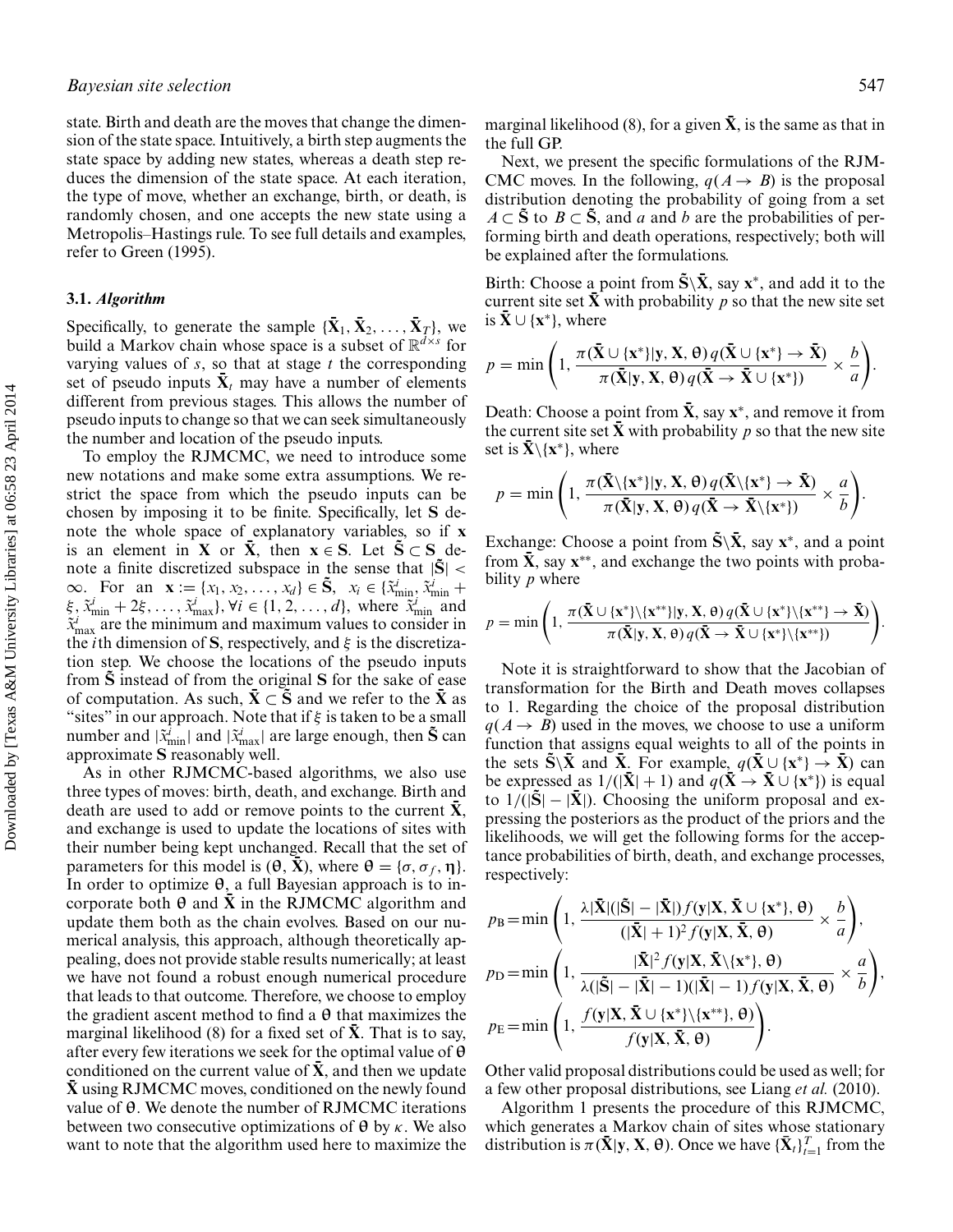state. Birth and death are the moves that change the dimension of the state space. Intuitively, a birth step augments the state space by adding new states, whereas a death step reduces the dimension of the state space. At each iteration, the type of move, whether an exchange, birth, or death, is randomly chosen, and one accepts the new state using a Metropolis–Hastings rule. To see full details and examples, refer to Green (1995).

## **3.1.** *Algorithm*

Specifically, to generate the sample  ${\{\mathbf{\bar{X}}_1, \mathbf{\bar{X}}_2, \dots, \mathbf{\bar{X}}_T\}}$ , we build a Markov chain whose space is a subset of  $\mathbb{R}^{d \times s}$  for varying values of *s*, so that at stage *t* the corresponding set of pseudo inputs  $\bar{\mathbf{X}}_t$  may have a number of elements different from previous stages. This allows the number of pseudo inputs to change so that we can seek simultaneously the number and location of the pseudo inputs.

To employ the RJMCMC, we need to introduce some new notations and make some extra assumptions. We restrict the space from which the pseudo inputs can be chosen by imposing it to be finite. Specifically, let **S** denote the whole space of explanatory variables, so if **x** is an element in **X** or  $\bar{\mathbf{X}}$ , then  $\mathbf{x} \in \mathbf{S}$ . Let  $\tilde{\mathbf{S}} \subset \mathbf{S}$  denote a finite discretized subspace in the sense that  $|\tilde{S}|$  <  $\infty$ . For an  $\mathbf{x} := \{x_1, x_2, ..., x_d\} \in \tilde{\mathbf{S}}, x_i \in \{\tilde{x}_{\min}^i, \tilde{x}_{\min}^i + \}$  $\xi$ ,  $\tilde{x}^i_{\text{min}} + 2\xi$ , ...,  $\tilde{x}^i_{\text{max}}$ ,  $\forall i \in \{1, 2, ..., d\}$ , where  $\tilde{x}^i_{\text{min}}$  and  $\tilde{x}^i_{\text{max}}$  are the minimum and maximum values to consider in the *i*th dimension of **S**, respectively, and  $\xi$  is the discretization step. We choose the locations of the pseudo inputs from **S** instead of from the original **S** for the sake of ease of computation. As such,  $X \subset S$  and we refer to the X as "sites" in our approach. Note that if  $\xi$  is taken to be a small number and  $|\tilde{x}^i_{\text{min}}|$  and  $|\tilde{x}^i_{\text{max}}|$  are large enough, then  $\tilde{S}$  can approximate **S** reasonably well.

As in other RJMCMC-based algorithms, we also use three types of moves: birth, death, and exchange. Birth and death are used to add or remove points to the current  $\bar{\mathbf{X}}$ , and exchange is used to update the locations of sites with their number being kept unchanged. Recall that the set of parameters for this model is  $(\theta, \bar{X})$ , where  $\theta = {\sigma, \sigma_f, \eta}$ . In order to optimize **θ**, a full Bayesian approach is to incorporate both  $\theta$  and **X** in the RJMCMC algorithm and update them both as the chain evolves. Based on our numerical analysis, this approach, although theoretically appealing, does not provide stable results numerically; at least we have not found a robust enough numerical procedure that leads to that outcome. Therefore, we choose to employ the gradient ascent method to find a **θ** that maximizes the marginal likelihood (8) for a fixed set of  $\bar{X}$ . That is to say, after every few iterations we seek for the optimal value of **θ** conditioned on the current value of  $\bar{\mathbf{X}}$ , and then we update  $\bar{\mathbf{X}}$  using RJMCMC moves, conditioned on the newly found value of **θ**. We denote the number of RJMCMC iterations between two consecutive optimizations of **θ** by κ. We also want to note that the algorithm used here to maximize the

Next, we present the specific formulations of the RJM-CMC moves. In the following,  $q(A \rightarrow B)$  is the proposal distribution denoting the probability of going from a set *A* ⊂ **S** to *B* ⊂ **S**, and *a* and *b* are the probabilities of performing birth and death operations, respectively; both will be explained after the formulations.

Birth: Choose a point from  $\tilde{\mathbf{S}} \backslash \tilde{\mathbf{X}}$ , say  $\mathbf{x}^*$ , and add it to the current site set  $\bar{\mathbf{X}}$  with probability *p* so that the new site set is  $\bar{\mathbf{X}}$  ∪ {**x**<sup>∗</sup>}, where

$$
p = \min\left(1, \frac{\pi(\bar{\mathbf{X}} \cup \{\mathbf{x}^*\}|\mathbf{y}, \mathbf{X}, \boldsymbol{\theta})q(\bar{\mathbf{X}} \cup \{\mathbf{x}^*\} \to \bar{\mathbf{X}})}{\pi(\bar{\mathbf{X}}|\mathbf{y}, \mathbf{X}, \boldsymbol{\theta})q(\bar{\mathbf{X}} \to \bar{\mathbf{X}} \cup \{\mathbf{x}^*\})} \times \frac{b}{a}\right).
$$

Death: Choose a point from  $\bar{\mathbf{X}}$ , say  $\mathbf{x}^*$ , and remove it from the current site set **X** with probability  $p$  so that the new site set is  $\bar{\mathbf{X}}\setminus{\mathbf{x}^*}$ , where

$$
p = \min\left(1, \frac{\pi(\bar{\mathbf{X}}\backslash{\{\mathbf{x}^*\}}|\mathbf{y}, \mathbf{X}, \boldsymbol{\theta})q(\bar{\mathbf{X}}\backslash{\{\mathbf{x}^*\}} \to \bar{\mathbf{X}})}{\pi(\bar{\mathbf{X}}|\mathbf{y}, \mathbf{X}, \boldsymbol{\theta})q(\bar{\mathbf{X}} \to \bar{\mathbf{X}}\backslash{\{\mathbf{x}^*\}})} \times \frac{a}{b}\right).
$$

Exchange: Choose a point from  $\tilde{S} \backslash \bar{X}$ , say  $x^*$ , and a point from  $\bar{X}$ , say  $x^{**}$ , and exchange the two points with probability *p* where

$$
p = \min\left(1, \frac{\pi(\bar{\mathbf{X}} \cup \{\mathbf{x}^*\}\backslash{\{\mathbf{x}^{**}\}}|\mathbf{y}, \mathbf{X}, \theta) q(\bar{\mathbf{X}} \cup \{\mathbf{x}^*\}\backslash{\{\mathbf{x}^{**}\}} \to \bar{\mathbf{X}})}{\pi(\bar{\mathbf{X}}|\mathbf{y}, \mathbf{X}, \theta) q(\bar{\mathbf{X}} \to \bar{\mathbf{X}} \cup \{\mathbf{x}^*\}\backslash{\{\mathbf{x}^{**}\}})}\right).
$$

Note it is straightforward to show that the Jacobian of transformation for the Birth and Death moves collapses to 1. Regarding the choice of the proposal distribution  $q(A \rightarrow B)$  used in the moves, we choose to use a uniform function that assigns equal weights to all of the points in the sets  $\tilde{S}\backslash\bar{X}$  and  $\bar{X}$ . For example,  $q(\bar{X}\cup\{x^*\}\rightarrow\bar{X})$  can be expressed as  $1/(|\bar{\mathbf{X}}|+1)$  and  $q(\bar{\mathbf{X}} \to \bar{\mathbf{X}} \cup {\mathbf{x}^*})$  is equal to  $1/(|\mathbf{S}|-|\mathbf{X}|)$ . Choosing the uniform proposal and expressing the posteriors as the product of the priors and the likelihoods, we will get the following forms for the acceptance probabilities of birth, death, and exchange processes, respectively:

$$
p_{\rm B} = \min\left(1, \frac{\lambda |\bar{\mathbf{X}}|(|\tilde{\mathbf{S}}| - |\bar{\mathbf{X}}|) f(\mathbf{y}|\mathbf{X}, \bar{\mathbf{X}} \cup {\mathbf{x}}^*), \theta)}{(|\bar{\mathbf{X}}| + 1)^2 f(\mathbf{y}|\mathbf{X}, \bar{\mathbf{X}}, \theta)} \times \frac{b}{a}\right),
$$
  
\n
$$
p_{\rm D} = \min\left(1, \frac{|\bar{\mathbf{X}}|^2 f(\mathbf{y}|\mathbf{X}, \bar{\mathbf{X}} \setminus {\mathbf{x}}^*), \theta)}{\lambda(|\bar{\mathbf{S}}| - |\bar{\mathbf{X}}| - 1)(|\bar{\mathbf{X}}| - 1) f(\mathbf{y}|\mathbf{X}, \bar{\mathbf{X}}, \theta)} \times \frac{a}{b}\right),
$$
  
\n
$$
p_{\rm E} = \min\left(1, \frac{f(\mathbf{y}|\mathbf{X}, \bar{\mathbf{X}} \cup {\mathbf{x}}^*)\setminus {\mathbf{x}}^{**}, \theta}{f(\mathbf{y}|\mathbf{X}, \bar{\mathbf{X}}, \theta)}\right).
$$

Other valid proposal distributions could be used as well; for a few other proposal distributions, see Liang *et al.* (2010).

Algorithm 1 presents the procedure of this RJMCMC, which generates a Markov chain of sites whose stationary distribution is  $\pi(\bar{\mathbf{X}} | \mathbf{y}, \mathbf{X}, \theta)$ . Once we have  $\{\bar{\mathbf{X}}_t\}_{t=1}^T$  from the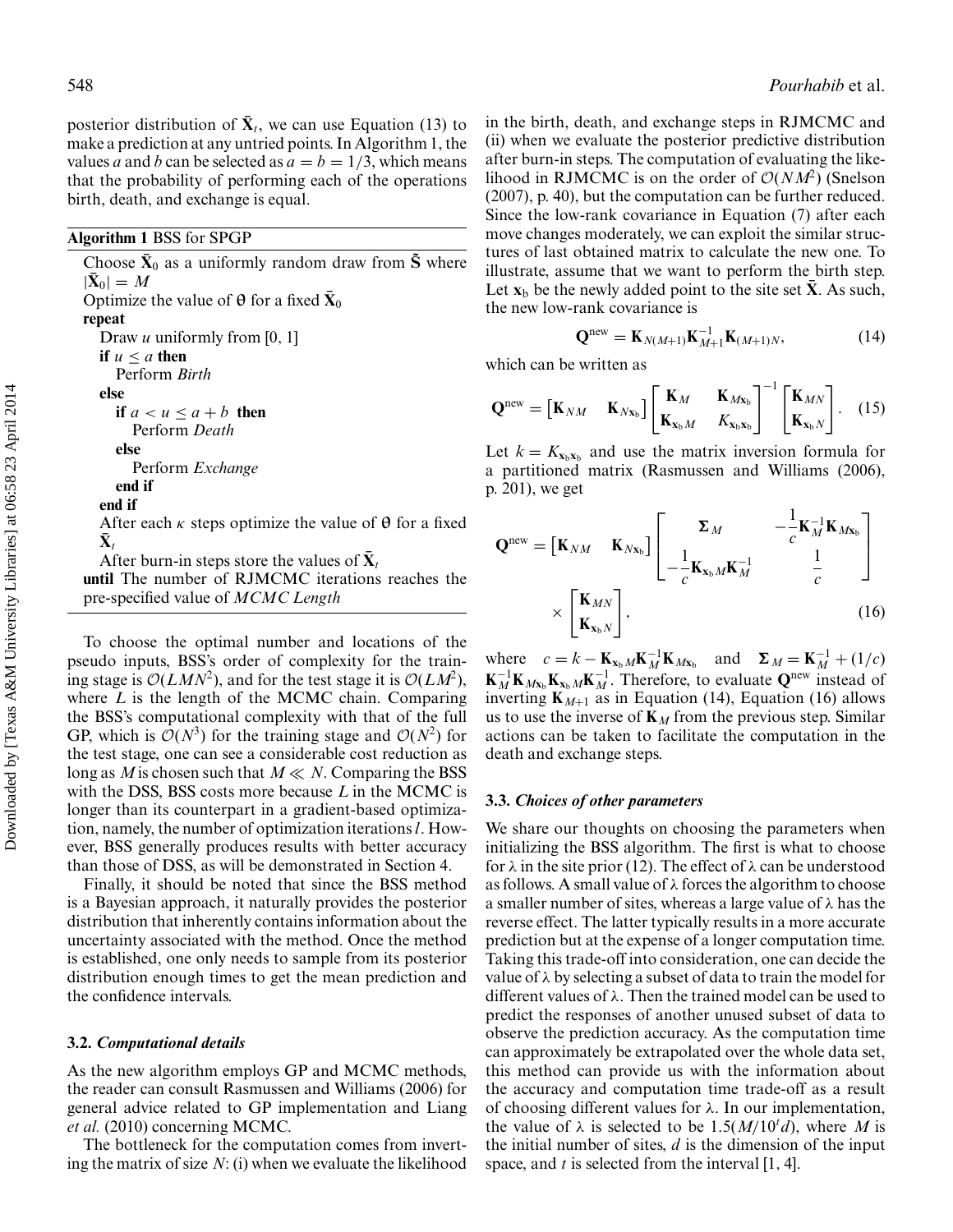posterior distribution of  $\bar{\mathbf{X}}_t$ , we can use Equation (13) to make a prediction at any untried points. In Algorithm 1, the values *a* and *b* can be selected as  $a = b = 1/3$ , which means that the probability of performing each of the operations birth, death, and exchange is equal.

## **Algorithm 1** BSS for SPGP

Choose  $\bar{\mathbf{X}}_0$  as a uniformly random draw from  $\tilde{\mathbf{S}}$  where  $|{\bf X}_0| = M$ Optimize the value of  $\theta$  for a fixed  $\bar{X}_0$ **repeat** Draw *u* uniformly from [0, 1] **if**  $u < a$  **then** Perform *Birth* **else if**  $a < u \le a + b$  **then** Perform *Death* **else** Perform *Exchange* **end if end if** After each  $\kappa$  steps optimize the value of  $\theta$  for a fixed  $\mathbf{X}_{t}$ After burn-in steps store the values of  $X_t$ **until** The number of RJMCMC iterations reaches the pre-specified value of *MCMC Length*

To choose the optimal number and locations of the pseudo inputs, BSS's order of complexity for the training stage is  $\mathcal{O}(LMN^2)$ , and for the test stage it is  $\mathcal{O}(LM^2)$ , where *L* is the length of the MCMC chain. Comparing the BSS's computational complexity with that of the full GP, which is  $O(N^3)$  for the training stage and  $O(N^2)$  for the test stage, one can see a considerable cost reduction as long as *M* is chosen such that  $M \ll N$ . Comparing the BSS with the DSS, BSS costs more because *L* in the MCMC is longer than its counterpart in a gradient-based optimization, namely, the number of optimization iterations*l*. However, BSS generally produces results with better accuracy than those of DSS, as will be demonstrated in Section 4.

Finally, it should be noted that since the BSS method is a Bayesian approach, it naturally provides the posterior distribution that inherently contains information about the uncertainty associated with the method. Once the method is established, one only needs to sample from its posterior distribution enough times to get the mean prediction and the confidence intervals.

## **3.2.** *Computational details*

As the new algorithm employs GP and MCMC methods, the reader can consult Rasmussen and Williams (2006) for general advice related to GP implementation and Liang *et al.* (2010) concerning MCMC.

The bottleneck for the computation comes from inverting the matrix of size *N*: (i) when we evaluate the likelihood in the birth, death, and exchange steps in RJMCMC and (ii) when we evaluate the posterior predictive distribution after burn-in steps. The computation of evaluating the likelihood in RJMCMC is on the order of  $O(NM^2)$  (Snelson (2007), p. 40), but the computation can be further reduced. Since the low-rank covariance in Equation (7) after each move changes moderately, we can exploit the similar structures of last obtained matrix to calculate the new one. To illustrate, assume that we want to perform the birth step. Let  $\mathbf{x}_b$  be the newly added point to the site set  $\bar{\mathbf{X}}$ . As such, the new low-rank covariance is

$$
\mathbf{Q}^{\text{new}} = \mathbf{K}_{N(M+1)} \mathbf{K}_{M+1}^{-1} \mathbf{K}_{(M+1)N},
$$
(14)

which can be written as

$$
\mathbf{Q}^{\text{new}} = \begin{bmatrix} \mathbf{K}_{NM} & \mathbf{K}_{N\mathbf{x}_b} \end{bmatrix} \begin{bmatrix} \mathbf{K}_{M} & \mathbf{K}_{M\mathbf{x}_b} \\ \mathbf{K}_{\mathbf{x}_b M} & K_{\mathbf{x}_b \mathbf{x}_b} \end{bmatrix}^{-1} \begin{bmatrix} \mathbf{K}_{MN} \\ \mathbf{K}_{\mathbf{x}_b N} \end{bmatrix} . \quad (15)
$$

Let  $k = K_{\mathbf{x}_b \mathbf{x}_b}$  and use the matrix inversion formula for a partitioned matrix (Rasmussen and Williams (2006), p. 201), we get

$$
\mathbf{Q}^{\text{new}} = \begin{bmatrix} \mathbf{K}_{NM} & \mathbf{K}_{Nx_b} \end{bmatrix} \begin{bmatrix} \Sigma_M & -\frac{1}{c} \mathbf{K}_M^{-1} \mathbf{K}_{Mx_b} \\ -\frac{1}{c} \mathbf{K}_{x_b M} \mathbf{K}_M^{-1} & \frac{1}{c} \end{bmatrix}
$$

$$
\times \begin{bmatrix} \mathbf{K}_{MN} \\ \mathbf{K}_{x_b N} \end{bmatrix},
$$
(16)

where  $c = k - \mathbf{K}_{\mathbf{x}_b} M \mathbf{K}_M^{-1} \mathbf{K}_{M\mathbf{x}_b}$  and  $\mathbf{\Sigma}_M = \mathbf{K}_M^{-1} + (1/c)$  $\mathbf{K}_{M}^{-1}\mathbf{K}_{Mx_{b}}\mathbf{K}_{x_{b}M}\mathbf{K}_{M}^{-1}$ . Therefore, to evaluate  $\mathbf{Q}^{\text{new}}$  instead of inverting  $\mathbf{K}_{M+1}$  as in Equation (14), Equation (16) allows us to use the inverse of  $\mathbf{K}_M$  from the previous step. Similar actions can be taken to facilitate the computation in the death and exchange steps.

## **3.3.** *Choices of other parameters*

We share our thoughts on choosing the parameters when initializing the BSS algorithm. The first is what to choose for  $\lambda$  in the site prior (12). The effect of  $\lambda$  can be understood as follows. A small value of λ forces the algorithm to choose a smaller number of sites, whereas a large value of λ has the reverse effect. The latter typically results in a more accurate prediction but at the expense of a longer computation time. Taking this trade-off into consideration, one can decide the value of  $\lambda$  by selecting a subset of data to train the model for different values of λ. Then the trained model can be used to predict the responses of another unused subset of data to observe the prediction accuracy. As the computation time can approximately be extrapolated over the whole data set, this method can provide us with the information about the accuracy and computation time trade-off as a result of choosing different values for  $\lambda$ . In our implementation, the value of  $\lambda$  is selected to be 1.5( $M/10<sup>t</sup> d$ ), where M is the initial number of sites, *d* is the dimension of the input space, and *t* is selected from the interval [1, 4].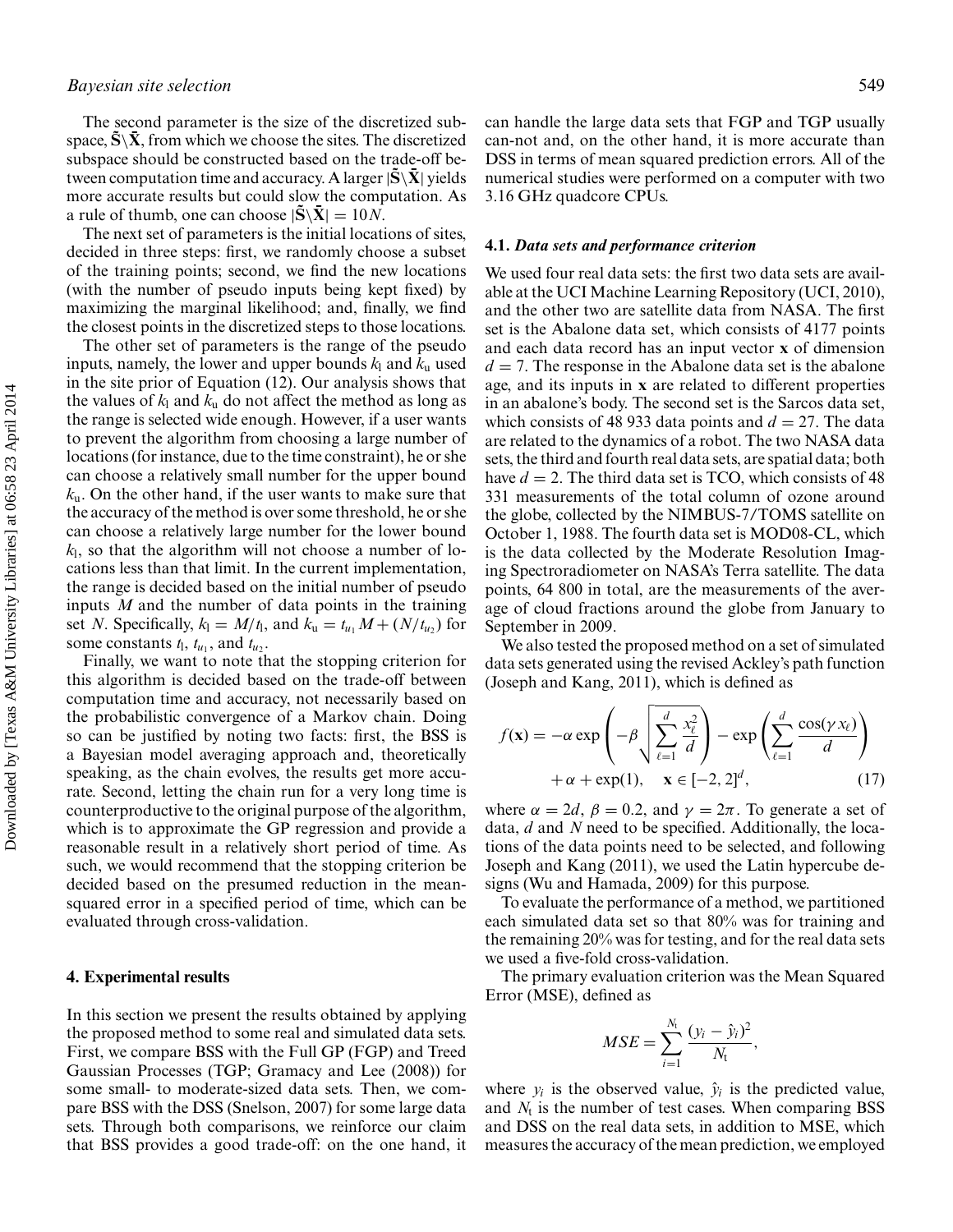## *Bayesian site selection* 549

The second parameter is the size of the discretized subspace,  $\tilde{S} \backslash \tilde{X}$ , from which we choose the sites. The discretized subspace should be constructed based on the trade-off between computation time and accuracy. A larger  $|\tilde{\mathbf{S}} \setminus \mathbf{\bar{X}}|$  yields more accurate results but could slow the computation. As a rule of thumb, one can choose  $|\tilde{S} \backslash \bar{X}| = 10N$ .

The next set of parameters is the initial locations of sites, decided in three steps: first, we randomly choose a subset of the training points; second, we find the new locations (with the number of pseudo inputs being kept fixed) by maximizing the marginal likelihood; and, finally, we find the closest points in the discretized steps to those locations.

The other set of parameters is the range of the pseudo inputs, namely, the lower and upper bounds  $k_1$  and  $k_u$  used in the site prior of Equation (12). Our analysis shows that the values of  $k_1$  and  $k_u$  do not affect the method as long as the range is selected wide enough. However, if a user wants to prevent the algorithm from choosing a large number of locations (for instance, due to the time constraint), he or she can choose a relatively small number for the upper bound *k*u. On the other hand, if the user wants to make sure that the accuracy of the method is over some threshold, he or she can choose a relatively large number for the lower bound *k*l, so that the algorithm will not choose a number of locations less than that limit. In the current implementation, the range is decided based on the initial number of pseudo inputs *M* and the number of data points in the training set *N*. Specifically,  $k_1 = M/t_1$ , and  $k_u = t_{u_1}M + (N/t_{u_2})$  for some constants  $t_1$ ,  $t_{u_1}$ , and  $t_{u_2}$ .

Finally, we want to note that the stopping criterion for this algorithm is decided based on the trade-off between computation time and accuracy, not necessarily based on the probabilistic convergence of a Markov chain. Doing so can be justified by noting two facts: first, the BSS is a Bayesian model averaging approach and, theoretically speaking, as the chain evolves, the results get more accurate. Second, letting the chain run for a very long time is counterproductive to the original purpose of the algorithm, which is to approximate the GP regression and provide a reasonable result in a relatively short period of time. As such, we would recommend that the stopping criterion be decided based on the presumed reduction in the meansquared error in a specified period of time, which can be evaluated through cross-validation.

## **4. Experimental results**

In this section we present the results obtained by applying the proposed method to some real and simulated data sets. First, we compare BSS with the Full GP (FGP) and Treed Gaussian Processes (TGP; Gramacy and Lee (2008)) for some small- to moderate-sized data sets. Then, we compare BSS with the DSS (Snelson, 2007) for some large data sets. Through both comparisons, we reinforce our claim that BSS provides a good trade-off: on the one hand, it can handle the large data sets that FGP and TGP usually can-not and, on the other hand, it is more accurate than DSS in terms of mean squared prediction errors. All of the numerical studies were performed on a computer with two 3.16 GHz quadcore CPUs.

#### **4.1.** *Data sets and performance criterion*

We used four real data sets: the first two data sets are available at the UCI Machine Learning Repository (UCI, 2010), and the other two are satellite data from NASA. The first set is the Abalone data set, which consists of 4177 points and each data record has an input vector **x** of dimension  $d = 7$ . The response in the Abalone data set is the abalone age, and its inputs in **x** are related to different properties in an abalone's body. The second set is the Sarcos data set, which consists of 48 933 data points and  $d = 27$ . The data are related to the dynamics of a robot. The two NASA data sets, the third and fourth real data sets, are spatial data; both have  $d = 2$ . The third data set is TCO, which consists of 48 331 measurements of the total column of ozone around the globe, collected by the NIMBUS-7/TOMS satellite on October 1, 1988. The fourth data set is MOD08-CL, which is the data collected by the Moderate Resolution Imaging Spectroradiometer on NASA's Terra satellite. The data points, 64 800 in total, are the measurements of the average of cloud fractions around the globe from January to September in 2009.

We also tested the proposed method on a set of simulated data sets generated using the revised Ackley's path function (Joseph and Kang, 2011), which is defined as

$$
f(\mathbf{x}) = -\alpha \exp\left(-\beta \sqrt{\sum_{\ell=1}^{d} \frac{x_{\ell}^{2}}{d}}\right) - \exp\left(\sum_{\ell=1}^{d} \frac{\cos(\gamma x_{\ell})}{d}\right) + \alpha + \exp(1), \quad \mathbf{x} \in [-2, 2]^{d}, \tag{17}
$$

where  $\alpha = 2d$ ,  $\beta = 0.2$ , and  $\gamma = 2\pi$ . To generate a set of data, *d* and *N* need to be specified. Additionally, the locations of the data points need to be selected, and following Joseph and Kang (2011), we used the Latin hypercube designs (Wu and Hamada, 2009) for this purpose.

To evaluate the performance of a method, we partitioned each simulated data set so that 80% was for training and the remaining 20% was for testing, and for the real data sets we used a five-fold cross-validation.

The primary evaluation criterion was the Mean Squared Error (MSE), defined as

$$
MSE = \sum_{i=1}^{N_{\rm t}} \frac{(y_i - \hat{y}_i)^2}{N_{\rm t}},
$$

where  $y_i$  is the observed value,  $\hat{y}_i$  is the predicted value, and  $N_t$  is the number of test cases. When comparing BSS and DSS on the real data sets, in addition to MSE, which measures the accuracy of the mean prediction, we employed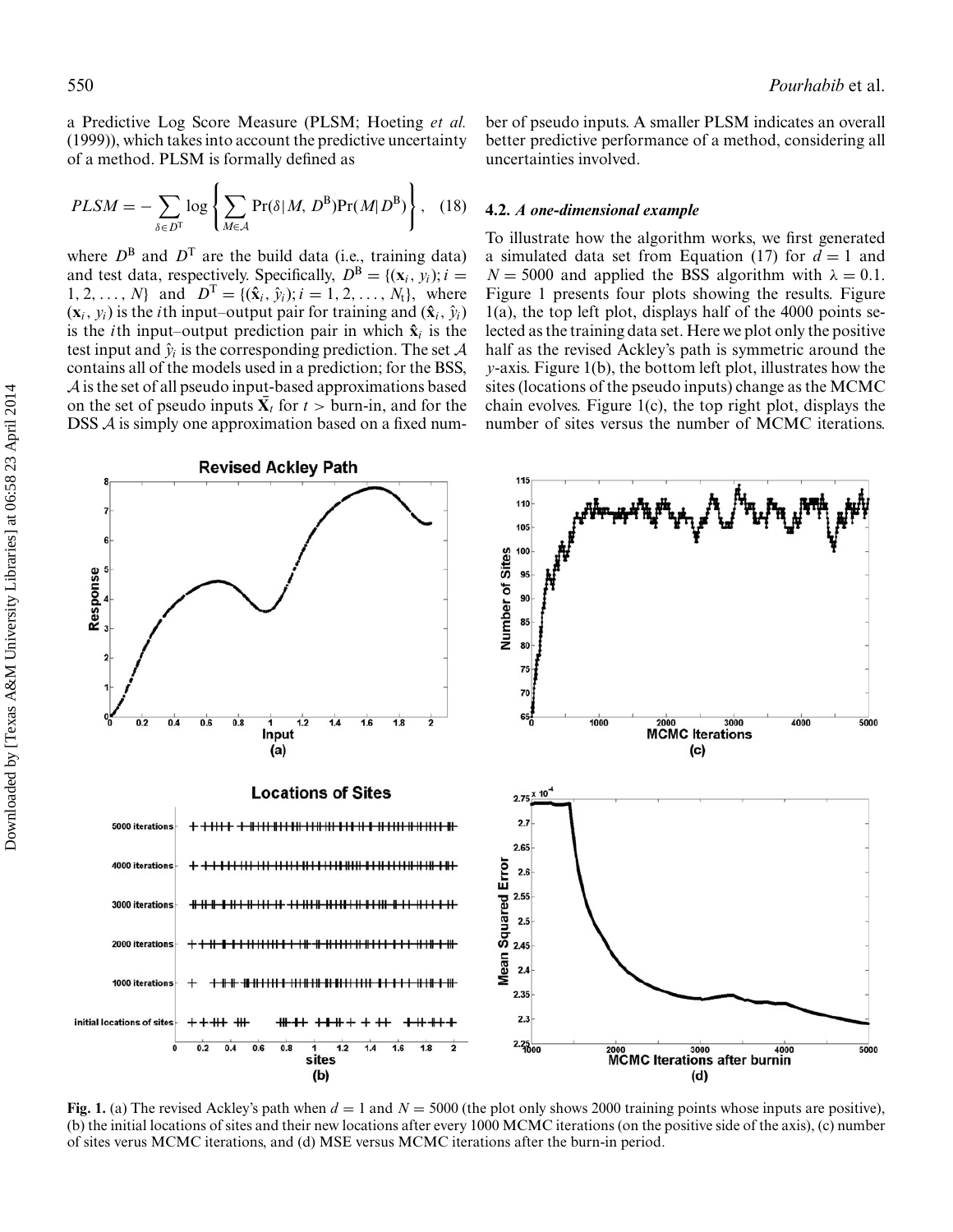a Predictive Log Score Measure (PLSM; Hoeting *et al.* (1999)), which takes into account the predictive uncertainty of a method. PLSM is formally defined as

$$
PLSM = -\sum_{\delta \in D^{T}} \log \left\{ \sum_{M \in \mathcal{A}} \Pr(\delta | M, D^{B}) \Pr(M | D^{B}) \right\}, \quad (18)
$$

where  $D^B$  and  $D^T$  are the build data (i.e., training data) and test data, respectively. Specifically,  $D^B = \{(\mathbf{x}_i, y_i); i =$ 1, 2,..., *N*} and  $D^T = \{(\hat{\mathbf{x}}_i, \hat{y}_i); i = 1, 2, ..., N_t\}$ , where  $(\mathbf{x}_i, y_i)$  is the *i*th input–output pair for training and  $(\hat{\mathbf{x}}_i, \hat{y}_i)$ is the *i*th input–output prediction pair in which  $\hat{\mathbf{x}}_i$  is the test input and  $\hat{y}_i$  is the corresponding prediction. The set  $\mathcal A$ contains all of the models used in a prediction; for the BSS, A is the set of all pseudo input-based approximations based on the set of pseudo inputs  $\bar{X}_t$  for  $t >$  burn-in, and for the DSS A is simply one approximation based on a fixed number of pseudo inputs. A smaller PLSM indicates an overall better predictive performance of a method, considering all uncertainties involved.

## **4.2.** *A one-dimensional example*

To illustrate how the algorithm works, we first generated a simulated data set from Equation (17) for  $d = 1$  and  $N = 5000$  and applied the BSS algorithm with  $\lambda = 0.1$ . Figure 1 presents four plots showing the results. Figure 1(a), the top left plot, displays half of the 4000 points selected as the training data set. Here we plot only the positive half as the revised Ackley's path is symmetric around the *y*-axis. Figure 1(b), the bottom left plot, illustrates how the sites (locations of the pseudo inputs) change as the MCMC chain evolves. Figure 1(c), the top right plot, displays the number of sites versus the number of MCMC iterations.



**Fig. 1.** (a) The revised Ackley's path when  $d = 1$  and  $N = 5000$  (the plot only shows 2000 training points whose inputs are positive), (b) the initial locations of sites and their new locations after every 1000 MCMC iterations (on the positive side of the axis), (c) number of sites verus MCMC iterations, and (d) MSE versus MCMC iterations after the burn-in period.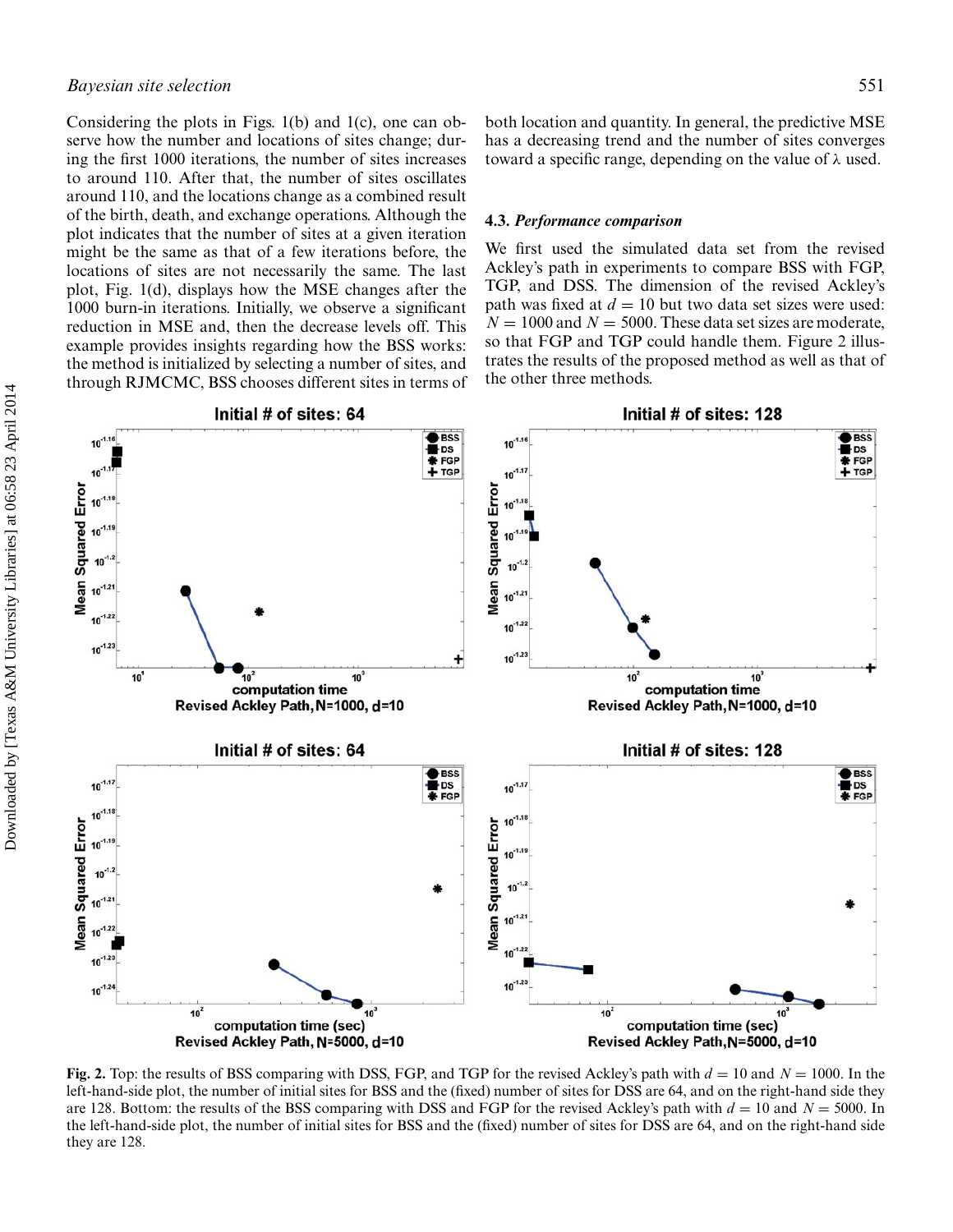## *Bayesian site selection* 551

Considering the plots in Figs. 1(b) and 1(c), one can observe how the number and locations of sites change; during the first 1000 iterations, the number of sites increases to around 110. After that, the number of sites oscillates around 110, and the locations change as a combined result of the birth, death, and exchange operations. Although the plot indicates that the number of sites at a given iteration might be the same as that of a few iterations before, the locations of sites are not necessarily the same. The last plot, Fig. 1(d), displays how the MSE changes after the 1000 burn-in iterations. Initially, we observe a significant reduction in MSE and, then the decrease levels off. This example provides insights regarding how the BSS works: the method is initialized by selecting a number of sites, and through RJMCMC, BSS chooses different sites in terms of both location and quantity. In general, the predictive MSE has a decreasing trend and the number of sites converges toward a specific range, depending on the value of  $\lambda$  used.

#### **4.3.** *Performance comparison*

We first used the simulated data set from the revised Ackley's path in experiments to compare BSS with FGP, TGP, and DSS. The dimension of the revised Ackley's path was fixed at  $d = 10$  but two data set sizes were used:  $N = 1000$  and  $N = 5000$ . These data set sizes are moderate, so that FGP and TGP could handle them. Figure 2 illustrates the results of the proposed method as well as that of the other three methods.



**Fig. 2.** Top: the results of BSS comparing with DSS, FGP, and TGP for the revised Ackley's path with *d* = 10 and *N* = 1000. In the left-hand-side plot, the number of initial sites for BSS and the (fixed) number of sites for DSS are 64, and on the right-hand side they are 128. Bottom: the results of the BSS comparing with DSS and FGP for the revised Ackley's path with *d* = 10 and *N* = 5000. In the left-hand-side plot, the number of initial sites for BSS and the (fixed) number of sites for DSS are 64, and on the right-hand side they are 128.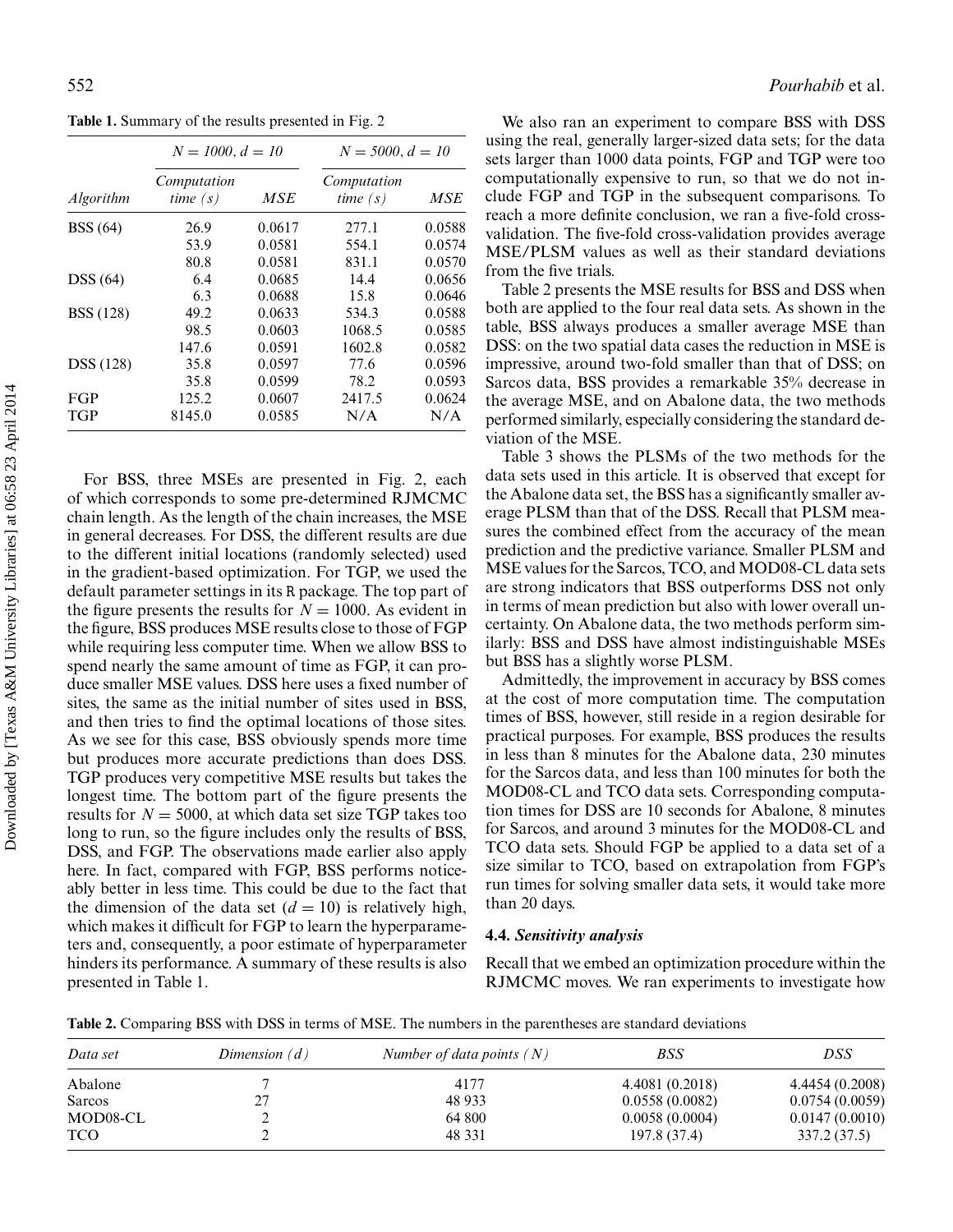**Table 1.** Summary of the results presented in Fig. 2

|                  | $N = 1000, d = 10$        |        | $N = 5000, d = 10$        |        |
|------------------|---------------------------|--------|---------------------------|--------|
| <i>Algorithm</i> | Computation<br>time $(s)$ | MSE    | Computation<br>time $(s)$ | MSE    |
| <b>BSS</b> (64)  | 26.9                      | 0.0617 | 277.1                     | 0.0588 |
|                  | 53.9                      | 0.0581 | 554.1                     | 0.0574 |
|                  | 80.8                      | 0.0581 | 831.1                     | 0.0570 |
| DSS(64)          | 6.4                       | 0.0685 | 14.4                      | 0.0656 |
|                  | 6.3                       | 0.0688 | 15.8                      | 0.0646 |
| <b>BSS</b> (128) | 49.2                      | 0.0633 | 534.3                     | 0.0588 |
|                  | 98.5                      | 0.0603 | 1068.5                    | 0.0585 |
|                  | 147.6                     | 0.0591 | 1602.8                    | 0.0582 |
| <b>DSS</b> (128) | 35.8                      | 0.0597 | 77.6                      | 0.0596 |
|                  | 35.8                      | 0.0599 | 78.2                      | 0.0593 |
| <b>FGP</b>       | 125.2                     | 0.0607 | 2417.5                    | 0.0624 |
| <b>TGP</b>       | 8145.0                    | 0.0585 | N/A                       | N/A    |

For BSS, three MSEs are presented in Fig. 2, each of which corresponds to some pre-determined RJMCMC chain length. As the length of the chain increases, the MSE in general decreases. For DSS, the different results are due to the different initial locations (randomly selected) used in the gradient-based optimization. For TGP, we used the default parameter settings in its R package. The top part of the figure presents the results for  $N = 1000$ . As evident in the figure, BSS produces MSE results close to those of FGP while requiring less computer time. When we allow BSS to spend nearly the same amount of time as FGP, it can produce smaller MSE values. DSS here uses a fixed number of sites, the same as the initial number of sites used in BSS, and then tries to find the optimal locations of those sites. As we see for this case, BSS obviously spends more time but produces more accurate predictions than does DSS. TGP produces very competitive MSE results but takes the longest time. The bottom part of the figure presents the results for  $N = 5000$ , at which data set size TGP takes too long to run, so the figure includes only the results of BSS, DSS, and FGP. The observations made earlier also apply here. In fact, compared with FGP, BSS performs noticeably better in less time. This could be due to the fact that the dimension of the data set  $(d = 10)$  is relatively high, which makes it difficult for FGP to learn the hyperparameters and, consequently, a poor estimate of hyperparameter hinders its performance. A summary of these results is also presented in Table 1.

We also ran an experiment to compare BSS with DSS using the real, generally larger-sized data sets; for the data sets larger than 1000 data points, FGP and TGP were too computationally expensive to run, so that we do not include FGP and TGP in the subsequent comparisons. To reach a more definite conclusion, we ran a five-fold crossvalidation. The five-fold cross-validation provides average MSE/PLSM values as well as their standard deviations from the five trials.

Table 2 presents the MSE results for BSS and DSS when both are applied to the four real data sets. As shown in the table, BSS always produces a smaller average MSE than DSS: on the two spatial data cases the reduction in MSE is impressive, around two-fold smaller than that of DSS; on Sarcos data, BSS provides a remarkable 35% decrease in the average MSE, and on Abalone data, the two methods performed similarly, especially considering the standard deviation of the MSE.

Table 3 shows the PLSMs of the two methods for the data sets used in this article. It is observed that except for the Abalone data set, the BSS has a significantly smaller average PLSM than that of the DSS. Recall that PLSM measures the combined effect from the accuracy of the mean prediction and the predictive variance. Smaller PLSM and MSE values for the Sarcos, TCO, and MOD08-CL data sets are strong indicators that BSS outperforms DSS not only in terms of mean prediction but also with lower overall uncertainty. On Abalone data, the two methods perform similarly: BSS and DSS have almost indistinguishable MSEs but BSS has a slightly worse PLSM.

Admittedly, the improvement in accuracy by BSS comes at the cost of more computation time. The computation times of BSS, however, still reside in a region desirable for practical purposes. For example, BSS produces the results in less than 8 minutes for the Abalone data, 230 minutes for the Sarcos data, and less than 100 minutes for both the MOD08-CL and TCO data sets. Corresponding computation times for DSS are 10 seconds for Abalone, 8 minutes for Sarcos, and around 3 minutes for the MOD08-CL and TCO data sets. Should FGP be applied to a data set of a size similar to TCO, based on extrapolation from FGP's run times for solving smaller data sets, it would take more than 20 days.

## **4.4.** *Sensitivity analysis*

Recall that we embed an optimization procedure within the RJMCMC moves. We ran experiments to investigate how

**Table 2.** Comparing BSS with DSS in terms of MSE. The numbers in the parentheses are standard deviations

| Data set   | Dimension $(d)$ | Number of data points $(N)$ | BSS             | DSS             |
|------------|-----------------|-----------------------------|-----------------|-----------------|
| Abalone    |                 | 4177                        | 4.4081 (0.2018) | 4.4454 (0.2008) |
| Sarcos     |                 | 48 933                      | 0.0558(0.0082)  | 0.0754(0.0059)  |
| MOD08-CL   |                 | 64 800                      | 0.0058(0.0004)  | 0.0147(0.0010)  |
| <b>TCO</b> |                 | 48 3 3 1                    | 197.8 (37.4)    | 337.2 (37.5)    |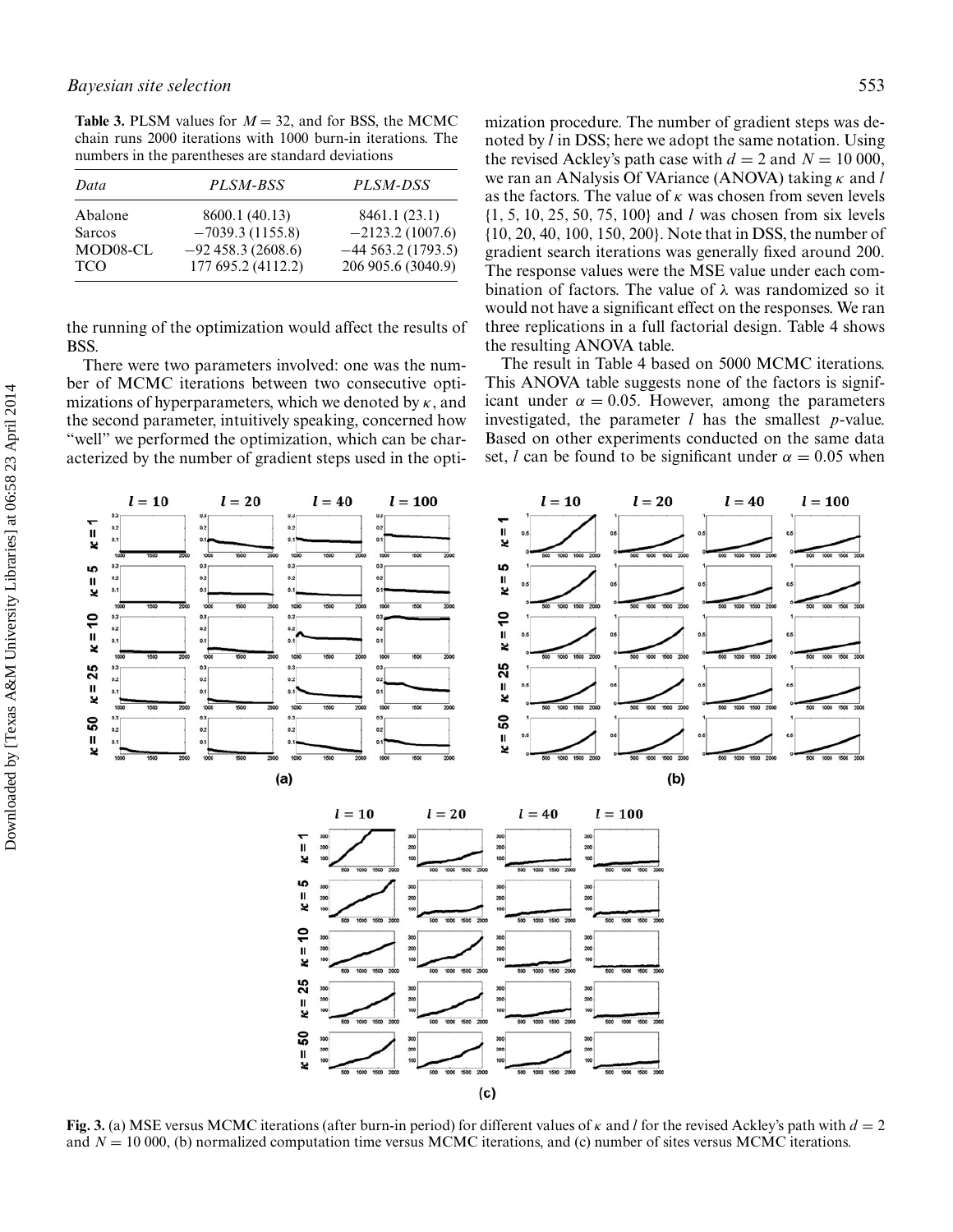**Table 3.** PLSM values for  $M = 32$ , and for BSS, the MCMC chain runs 2000 iterations with 1000 burn-in iterations. The numbers in the parentheses are standard deviations

| Data          | PLSM-BSS           | PLSM-DSS             |
|---------------|--------------------|----------------------|
| Abalone       | 8600.1 (40.13)     | 8461.1 (23.1)        |
| <b>Sarcos</b> | $-7039.3(1155.8)$  | $-2123.2(1007.6)$    |
| MOD08-CL      | $-92458.3(2608.6)$ | $-44$ 563.2 (1793.5) |
| <b>TCO</b>    | 177 695.2 (4112.2) | 206 905.6 (3040.9)   |

the running of the optimization would affect the results of BSS.

There were two parameters involved: one was the number of MCMC iterations between two consecutive optimizations of hyperparameters, which we denoted by  $\kappa$ , and the second parameter, intuitively speaking, concerned how "well" we performed the optimization, which can be characterized by the number of gradient steps used in the optimization procedure. The number of gradient steps was denoted by *l* in DSS; here we adopt the same notation. Using the revised Ackley's path case with  $d = 2$  and  $N = 10000$ , we ran an ANalysis Of VAriance (ANOVA) taking κ and *l* as the factors. The value of  $\kappa$  was chosen from seven levels {1, 5, 10, 25, 50, 75, 100} and *l* was chosen from six levels {10, 20, 40, 100, 150, 200}. Note that in DSS, the number of gradient search iterations was generally fixed around 200. The response values were the MSE value under each combination of factors. The value of  $\lambda$  was randomized so it would not have a significant effect on the responses. We ran three replications in a full factorial design. Table 4 shows the resulting ANOVA table.

The result in Table 4 based on 5000 MCMC iterations. This ANOVA table suggests none of the factors is significant under  $\alpha = 0.05$ . However, among the parameters investigated, the parameter *l* has the smallest *p*-value. Based on other experiments conducted on the same data set, *l* can be found to be significant under  $\alpha = 0.05$  when



**Fig. 3.** (a) MSE versus MCMC iterations (after burn-in period) for different values of κ and *l* for the revised Ackley's path with *d* = 2 and  $N = 10000$ , (b) normalized computation time versus MCMC iterations, and (c) number of sites versus MCMC iterations.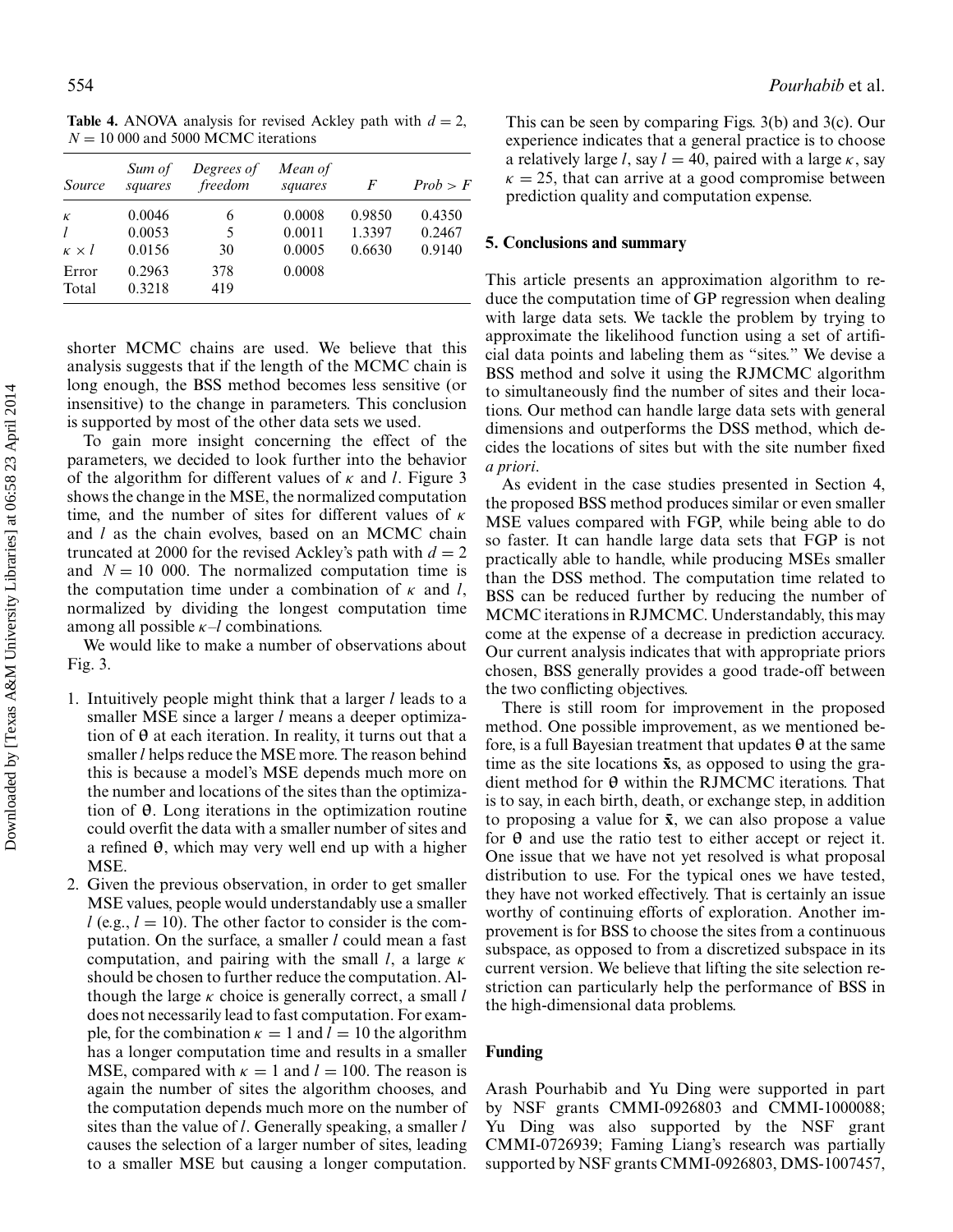**Table 4.** ANOVA analysis for revised Ackley path with  $d = 2$ ,  $N = 10000$  and 5000 MCMC iterations

| <i>Source</i>                      | Sum of<br>squares          | Degrees of<br>freedom | Mean of<br>squares         | F                          | Prob > F                   |
|------------------------------------|----------------------------|-----------------------|----------------------------|----------------------------|----------------------------|
| $\kappa$<br>l<br>$\kappa \times l$ | 0.0046<br>0.0053<br>0.0156 | 6<br>5<br>30          | 0.0008<br>0.0011<br>0.0005 | 0.9850<br>1.3397<br>0.6630 | 0.4350<br>0.2467<br>0.9140 |
| Error<br>Total                     | 0.2963<br>0.3218           | 378<br>419            | 0.0008                     |                            |                            |

shorter MCMC chains are used. We believe that this analysis suggests that if the length of the MCMC chain is long enough, the BSS method becomes less sensitive (or insensitive) to the change in parameters. This conclusion is supported by most of the other data sets we used.

To gain more insight concerning the effect of the parameters, we decided to look further into the behavior of the algorithm for different values of κ and *l*. Figure 3 shows the change in the MSE, the normalized computation time, and the number of sites for different values of  $\kappa$ and *l* as the chain evolves, based on an MCMC chain truncated at 2000 for the revised Ackley's path with  $d = 2$ and  $N = 10$  000. The normalized computation time is the computation time under a combination of  $\kappa$  and *l*, normalized by dividing the longest computation time among all possible  $\kappa$ -*l* combinations.

We would like to make a number of observations about Fig. 3.

- 1. Intuitively people might think that a larger *l* leads to a smaller MSE since a larger *l* means a deeper optimization of **θ** at each iteration. In reality, it turns out that a smaller*l* helps reduce the MSE more. The reason behind this is because a model's MSE depends much more on the number and locations of the sites than the optimization of **θ**. Long iterations in the optimization routine could overfit the data with a smaller number of sites and a refined **θ**, which may very well end up with a higher MSE.
- 2. Given the previous observation, in order to get smaller MSE values, people would understandably use a smaller  $l$  (e.g.,  $l = 10$ ). The other factor to consider is the computation. On the surface, a smaller *l* could mean a fast computation, and pairing with the small *l*, a large κ should be chosen to further reduce the computation. Although the large κ choice is generally correct, a small *l* does not necessarily lead to fast computation. For example, for the combination  $\kappa = 1$  and  $l = 10$  the algorithm has a longer computation time and results in a smaller MSE, compared with  $\kappa = 1$  and  $l = 100$ . The reason is again the number of sites the algorithm chooses, and the computation depends much more on the number of sites than the value of *l*. Generally speaking, a smaller *l* causes the selection of a larger number of sites, leading to a smaller MSE but causing a longer computation.

This can be seen by comparing Figs. 3(b) and 3(c). Our experience indicates that a general practice is to choose a relatively large *l*, say  $l = 40$ , paired with a large  $\kappa$ , say  $\kappa = 25$ , that can arrive at a good compromise between prediction quality and computation expense.

## **5. Conclusions and summary**

This article presents an approximation algorithm to reduce the computation time of GP regression when dealing with large data sets. We tackle the problem by trying to approximate the likelihood function using a set of artificial data points and labeling them as "sites." We devise a BSS method and solve it using the RJMCMC algorithm to simultaneously find the number of sites and their locations. Our method can handle large data sets with general dimensions and outperforms the DSS method, which decides the locations of sites but with the site number fixed *a priori*.

As evident in the case studies presented in Section 4, the proposed BSS method produces similar or even smaller MSE values compared with FGP, while being able to do so faster. It can handle large data sets that FGP is not practically able to handle, while producing MSEs smaller than the DSS method. The computation time related to BSS can be reduced further by reducing the number of MCMC iterations in RJMCMC. Understandably, this may come at the expense of a decrease in prediction accuracy. Our current analysis indicates that with appropriate priors chosen, BSS generally provides a good trade-off between the two conflicting objectives.

There is still room for improvement in the proposed method. One possible improvement, as we mentioned before, is a full Bayesian treatment that updates **θ** at the same time as the site locations  $\bar{x}s$ , as opposed to using the gradient method for **θ** within the RJMCMC iterations. That is to say, in each birth, death, or exchange step, in addition to proposing a value for  $\bar{x}$ , we can also propose a value for **θ** and use the ratio test to either accept or reject it. One issue that we have not yet resolved is what proposal distribution to use. For the typical ones we have tested, they have not worked effectively. That is certainly an issue worthy of continuing efforts of exploration. Another improvement is for BSS to choose the sites from a continuous subspace, as opposed to from a discretized subspace in its current version. We believe that lifting the site selection restriction can particularly help the performance of BSS in the high-dimensional data problems.

## **Funding**

Arash Pourhabib and Yu Ding were supported in part by NSF grants CMMI-0926803 and CMMI-1000088; Yu Ding was also supported by the NSF grant CMMI-0726939; Faming Liang's research was partially supported by NSF grants CMMI-0926803, DMS-1007457,